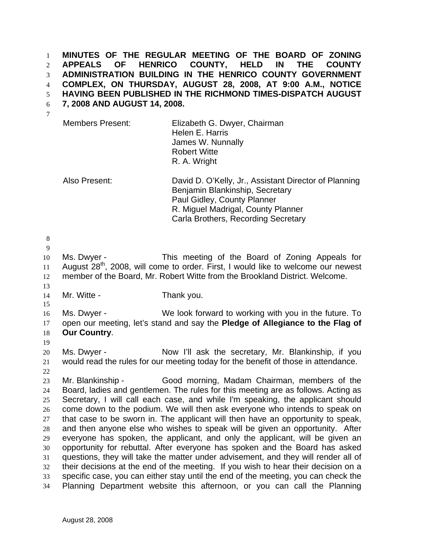**MINUTES OF THE REGULAR MEETING OF THE BOARD OF ZONING APPEALS OF HENRICO COUNTY, HELD IN THE COUNTY ADMINISTRATION BUILDING IN THE HENRICO COUNTY GOVERNMENT COMPLEX, ON THURSDAY, AUGUST 28, 2008, AT 9:00 A.M., NOTICE**  1 2 3 4

**HAVING BEEN PUBLISHED IN THE RICHMOND TIMES-DISPATCH AUGUST**  5

**7, 2008 AND AUGUST 14, 2008.**  6

| <b>Members Present:</b> | Elizabeth G. Dwyer, Chairman |
|-------------------------|------------------------------|
|                         | Helen E. Harris              |
|                         | James W. Nunnally            |
|                         | <b>Robert Witte</b>          |
|                         | R. A. Wright                 |
|                         |                              |

Also Present: David D. O'Kelly, Jr., Assistant Director of Planning Benjamin Blankinship, Secretary Paul Gidley, County Planner R. Miguel Madrigal, County Planner Carla Brothers, Recording Secretary

8 9

13

15

10 11 12 Ms. Dwyer - This meeting of the Board of Zoning Appeals for August 28<sup>th</sup>, 2008, will come to order. First, I would like to welcome our newest member of the Board, Mr. Robert Witte from the Brookland District. Welcome.

14 Mr. Witte - Thank you.

16 17 18 Ms. Dwyer - We look forward to working with you in the future. To open our meeting, let's stand and say the **Pledge of Allegiance to the Flag of Our Country**.

19

20 21 22 Ms. Dwyer - Now I'll ask the secretary, Mr. Blankinship, if you would read the rules for our meeting today for the benefit of those in attendance.

23 24 25 26 27 28 29 30 31 32 33 34 Mr. Blankinship - Good morning, Madam Chairman, members of the Board, ladies and gentlemen. The rules for this meeting are as follows. Acting as Secretary, I will call each case, and while I'm speaking, the applicant should come down to the podium. We will then ask everyone who intends to speak on that case to be sworn in. The applicant will then have an opportunity to speak, and then anyone else who wishes to speak will be given an opportunity. After everyone has spoken, the applicant, and only the applicant, will be given an opportunity for rebuttal. After everyone has spoken and the Board has asked questions, they will take the matter under advisement, and they will render all of their decisions at the end of the meeting. If you wish to hear their decision on a specific case, you can either stay until the end of the meeting, you can check the Planning Department website this afternoon, or you can call the Planning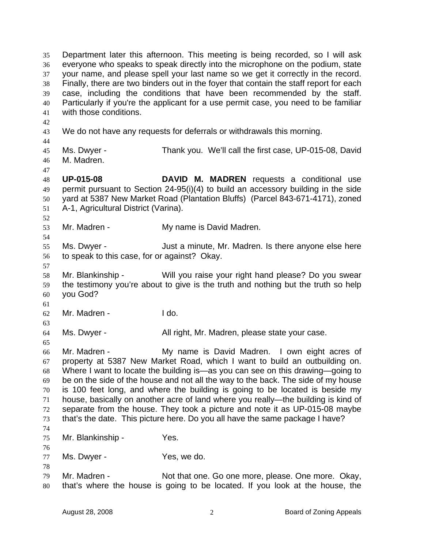Department later this afternoon. This meeting is being recorded, so I will ask everyone who speaks to speak directly into the microphone on the podium, state your name, and please spell your last name so we get it correctly in the record. Finally, there are two binders out in the foyer that contain the staff report for each case, including the conditions that have been recommended by the staff. Particularly if you're the applicant for a use permit case, you need to be familiar with those conditions. 35 36 37 38 39 40 41 42 43 44 45 46 47 48 49 50 51 52 53 54 55 56 57 58 59 60 61 62 63 64 65 66 67 68 69 70 71 72 73 74 75 76 77 78 79 80 We do not have any requests for deferrals or withdrawals this morning. Ms. Dwyer - Thank you. We'll call the first case, UP-015-08, David M. Madren. **UP-015-08 DAVID M. MADREN** requests a conditional use permit pursuant to Section 24-95(i)(4) to build an accessory building in the side yard at 5387 New Market Road (Plantation Bluffs) (Parcel 843-671-4171), zoned A-1, Agricultural District (Varina). Mr. Madren - My name is David Madren. Ms. Dwyer - **Just a minute, Mr. Madren.** Is there anyone else here to speak to this case, for or against? Okay. Mr. Blankinship - Will you raise your right hand please? Do you swear the testimony you're about to give is the truth and nothing but the truth so help you God? Mr. Madren - The Theory Ms. Dwyer - All right, Mr. Madren, please state your case. Mr. Madren - The My name is David Madren. I own eight acres of property at 5387 New Market Road, which I want to build an outbuilding on. Where I want to locate the building is—as you can see on this drawing—going to be on the side of the house and not all the way to the back. The side of my house is 100 feet long, and where the building is going to be located is beside my house, basically on another acre of land where you really—the building is kind of separate from the house. They took a picture and note it as UP-015-08 maybe that's the date. This picture here. Do you all have the same package I have? Mr. Blankinship - Yes. Ms. Dwyer - Yes, we do. Mr. Madren - Not that one. Go one more, please. One more. Okay, that's where the house is going to be located. If you look at the house, the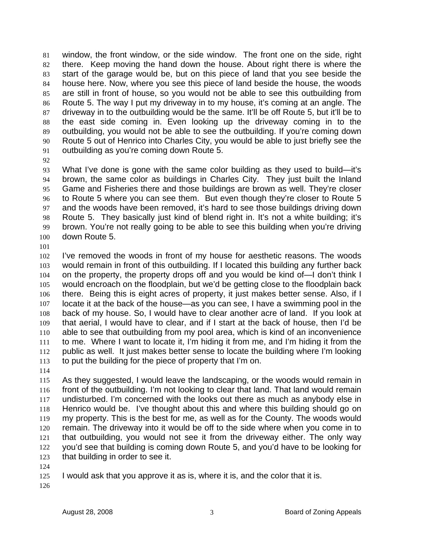window, the front window, or the side window. The front one on the side, right there. Keep moving the hand down the house. About right there is where the start of the garage would be, but on this piece of land that you see beside the house here. Now, where you see this piece of land beside the house, the woods are still in front of house, so you would not be able to see this outbuilding from Route 5. The way I put my driveway in to my house, it's coming at an angle. The driveway in to the outbuilding would be the same. It'll be off Route 5, but it'll be to the east side coming in. Even looking up the driveway coming in to the outbuilding, you would not be able to see the outbuilding. If you're coming down Route 5 out of Henrico into Charles City, you would be able to just briefly see the outbuilding as you're coming down Route 5. 81 82 83 84 85 86 87 88 89 90 91

92

93 94 95 96 97 98 99 100 What I've done is gone with the same color building as they used to build—it's brown, the same color as buildings in Charles City. They just built the Inland Game and Fisheries there and those buildings are brown as well. They're closer to Route 5 where you can see them. But even though they're closer to Route 5 and the woods have been removed, it's hard to see those buildings driving down Route 5. They basically just kind of blend right in. It's not a white building; it's brown. You're not really going to be able to see this building when you're driving down Route 5.

101

102 103 104 105 106 107 108 109 110 111 112 113 I've removed the woods in front of my house for aesthetic reasons. The woods would remain in front of this outbuilding. If I located this building any further back on the property, the property drops off and you would be kind of—I don't think I would encroach on the floodplain, but we'd be getting close to the floodplain back there. Being this is eight acres of property, it just makes better sense. Also, if I locate it at the back of the house—as you can see, I have a swimming pool in the back of my house. So, I would have to clear another acre of land. If you look at that aerial, I would have to clear, and if I start at the back of house, then I'd be able to see that outbuilding from my pool area, which is kind of an inconvenience to me. Where I want to locate it, I'm hiding it from me, and I'm hiding it from the public as well. It just makes better sense to locate the building where I'm looking to put the building for the piece of property that I'm on.

114

115 116 117 118 119 120 121 122 123 As they suggested, I would leave the landscaping, or the woods would remain in front of the outbuilding. I'm not looking to clear that land. That land would remain undisturbed. I'm concerned with the looks out there as much as anybody else in Henrico would be. I've thought about this and where this building should go on my property. This is the best for me, as well as for the County. The woods would remain. The driveway into it would be off to the side where when you come in to that outbuilding, you would not see it from the driveway either. The only way you'd see that building is coming down Route 5, and you'd have to be looking for that building in order to see it.

124

125 I would ask that you approve it as is, where it is, and the color that it is.

126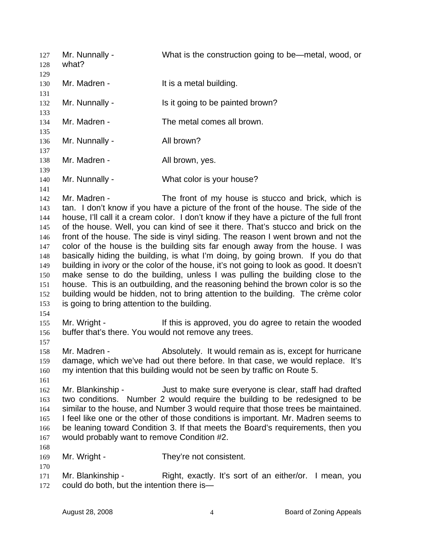Mr. Nunnally - What is the construction going to be—metal, wood, or what? 127 128 129 130 131 132 133 134 135 136 137 138 139 140 141 142 143 144 145 146 147 148 149 150 151 152 153 154 155 156 157 158 159 160 161 162 163 164 165 166 167 168 169 170 171 172 Mr. Madren - The Music Head building. Mr. Nunnally - Is it going to be painted brown? Mr. Madren - The metal comes all brown. Mr. Nunnally - All brown? Mr. Madren - The All brown, yes. Mr. Nunnally - What color is your house? Mr. Madren - The front of my house is stucco and brick, which is tan. I don't know if you have a picture of the front of the house. The side of the house, I'll call it a cream color. I don't know if they have a picture of the full front of the house. Well, you can kind of see it there. That's stucco and brick on the front of the house. The side is vinyl siding. The reason I went brown and not the color of the house is the building sits far enough away from the house. I was basically hiding the building, is what I'm doing, by going brown. If you do that building in ivory or the color of the house, it's not going to look as good. It doesn't make sense to do the building, unless I was pulling the building close to the house. This is an outbuilding, and the reasoning behind the brown color is so the building would be hidden, not to bring attention to the building. The crème color is going to bring attention to the building. Mr. Wright - If this is approved, you do agree to retain the wooded buffer that's there. You would not remove any trees. Mr. Madren - Absolutely. It would remain as is, except for hurricane damage, which we've had out there before. In that case, we would replace. It's my intention that this building would not be seen by traffic on Route 5. Mr. Blankinship - Just to make sure everyone is clear, staff had drafted two conditions. Number 2 would require the building to be redesigned to be similar to the house, and Number 3 would require that those trees be maintained. I feel like one or the other of those conditions is important. Mr. Madren seems to be leaning toward Condition 3. If that meets the Board's requirements, then you would probably want to remove Condition #2. Mr. Wright - They're not consistent. Mr. Blankinship - Right, exactly. It's sort of an either/or. I mean, you could do both, but the intention there is—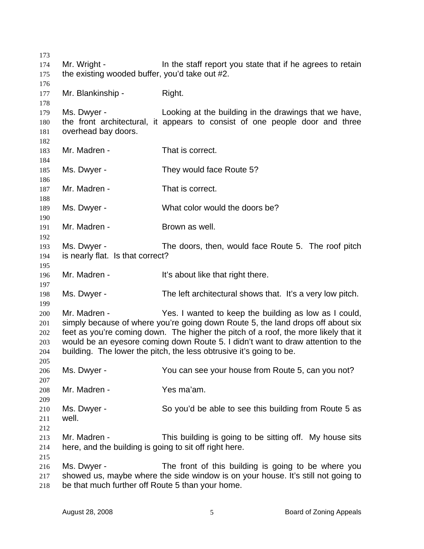| 173        |                                                                |                                                                                     |
|------------|----------------------------------------------------------------|-------------------------------------------------------------------------------------|
| 174<br>175 | Mr. Wright -<br>the existing wooded buffer, you'd take out #2. | In the staff report you state that if he agrees to retain                           |
| 176        |                                                                |                                                                                     |
| 177        | Mr. Blankinship -                                              | Right.                                                                              |
| 178        |                                                                |                                                                                     |
| 179        | Ms. Dwyer -                                                    | Looking at the building in the drawings that we have,                               |
| 180        |                                                                | the front architectural, it appears to consist of one people door and three         |
| 181        | overhead bay doors.                                            |                                                                                     |
| 182        |                                                                |                                                                                     |
| 183        | Mr. Madren -                                                   | That is correct.                                                                    |
| 184        |                                                                |                                                                                     |
| 185        | Ms. Dwyer -                                                    | They would face Route 5?                                                            |
| 186        |                                                                |                                                                                     |
| 187        | Mr. Madren -                                                   | That is correct.                                                                    |
| 188        |                                                                |                                                                                     |
| 189        | Ms. Dwyer -                                                    | What color would the doors be?                                                      |
| 190        |                                                                |                                                                                     |
| 191        | Mr. Madren -                                                   | Brown as well.                                                                      |
| 192        |                                                                |                                                                                     |
| 193        | Ms. Dwyer -                                                    | The doors, then, would face Route 5. The roof pitch                                 |
| 194        | is nearly flat. Is that correct?                               |                                                                                     |
| 195        |                                                                |                                                                                     |
| 196        | Mr. Madren -                                                   | It's about like that right there.                                                   |
| 197<br>198 | Ms. Dwyer -                                                    | The left architectural shows that. It's a very low pitch.                           |
| 199        |                                                                |                                                                                     |
| 200        | Mr. Madren -                                                   | Yes. I wanted to keep the building as low as I could,                               |
| 201        |                                                                | simply because of where you're going down Route 5, the land drops off about six     |
| 202        |                                                                | feet as you're coming down. The higher the pitch of a roof, the more likely that it |
| 203        |                                                                | would be an eyesore coming down Route 5. I didn't want to draw attention to the     |
| 204        |                                                                | building. The lower the pitch, the less obtrusive it's going to be.                 |
| 205        |                                                                |                                                                                     |
| 206        | Ms. Dwyer -                                                    | You can see your house from Route 5, can you not?                                   |
| 207        |                                                                |                                                                                     |
| 208        | Mr. Madren -                                                   | Yes ma'am.                                                                          |
| 209        |                                                                |                                                                                     |
| 210        | Ms. Dwyer -                                                    | So you'd be able to see this building from Route 5 as                               |
| 211        | well.                                                          |                                                                                     |
| 212        |                                                                |                                                                                     |
| 213        | Mr. Madren -                                                   | This building is going to be sitting off. My house sits                             |
| 214        | here, and the building is going to sit off right here.         |                                                                                     |
| 215        |                                                                |                                                                                     |
| 216        | Ms. Dwyer -                                                    | The front of this building is going to be where you                                 |
| 217        |                                                                | showed us, maybe where the side window is on your house. It's still not going to    |
| 218        | be that much further off Route 5 than your home.               |                                                                                     |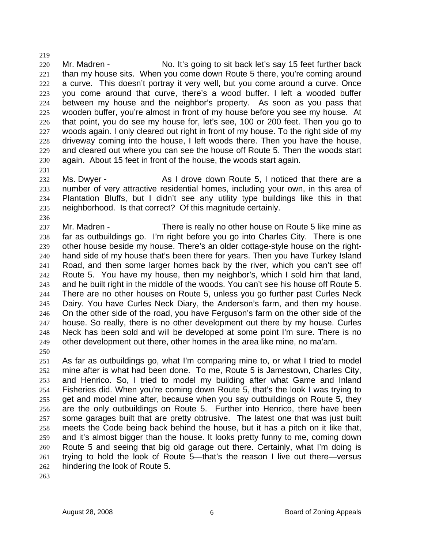220 221 222 223 224 225 226 227 228 229 230 Mr. Madren - No. It's going to sit back let's say 15 feet further back than my house sits. When you come down Route 5 there, you're coming around a curve. This doesn't portray it very well, but you come around a curve. Once you come around that curve, there's a wood buffer. I left a wooded buffer between my house and the neighbor's property. As soon as you pass that wooden buffer, you're almost in front of my house before you see my house. At that point, you do see my house for, let's see, 100 or 200 feet. Then you go to woods again. I only cleared out right in front of my house. To the right side of my driveway coming into the house, I left woods there. Then you have the house, and cleared out where you can see the house off Route 5. Then the woods start again. About 15 feet in front of the house, the woods start again.

231

236

219

232 233 234 235 Ms. Dwyer - The As I drove down Route 5, I noticed that there are a number of very attractive residential homes, including your own, in this area of Plantation Bluffs, but I didn't see any utility type buildings like this in that neighborhood. Is that correct? Of this magnitude certainly.

237 238 239 240 241 242 243 244 245 246 247 248 249 Mr. Madren - There is really no other house on Route 5 like mine as far as outbuildings go. I'm right before you go into Charles City. There is one other house beside my house. There's an older cottage-style house on the righthand side of my house that's been there for years. Then you have Turkey Island Road, and then some larger homes back by the river, which you can't see off Route 5. You have my house, then my neighbor's, which I sold him that land, and he built right in the middle of the woods. You can't see his house off Route 5. There are no other houses on Route 5, unless you go further past Curles Neck Dairy. You have Curles Neck Diary, the Anderson's farm, and then my house. On the other side of the road, you have Ferguson's farm on the other side of the house. So really, there is no other development out there by my house. Curles Neck has been sold and will be developed at some point I'm sure. There is no other development out there, other homes in the area like mine, no ma'am.

250

251 252 253 254 255 256 257 258 259 260 261 262 As far as outbuildings go, what I'm comparing mine to, or what I tried to model mine after is what had been done. To me, Route 5 is Jamestown, Charles City, and Henrico. So, I tried to model my building after what Game and Inland Fisheries did. When you're coming down Route 5, that's the look I was trying to get and model mine after, because when you say outbuildings on Route 5, they are the only outbuildings on Route 5. Further into Henrico, there have been some garages built that are pretty obtrusive. The latest one that was just built meets the Code being back behind the house, but it has a pitch on it like that, and it's almost bigger than the house. It looks pretty funny to me, coming down Route 5 and seeing that big old garage out there. Certainly, what I'm doing is trying to hold the look of Route 5—that's the reason I live out there—versus hindering the look of Route 5.

263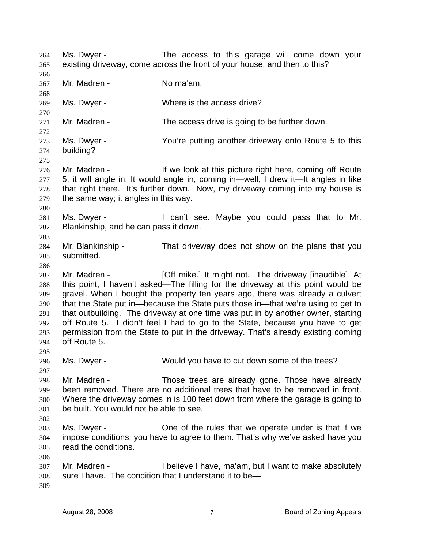Ms. Dwyer - The access to this garage will come down your existing driveway, come across the front of your house, and then to this? 264 265 266 267 268 269 270 271 272 273 274 275 276 277 278 279 280 281 282 283 284 285 286 287 288 289 290 291 292 293 294 295 296 297 298 299 300 301 302 303 304 305 306 307 308 309 Mr. Madren - No ma'am. Ms. Dwyer - Where is the access drive? Mr. Madren - The access drive is going to be further down. Ms. Dwyer - You're putting another driveway onto Route 5 to this building? Mr. Madren - The Indian of the look at this picture right here, coming off Route 5, it will angle in. It would angle in, coming in—well, I drew it—It angles in like that right there. It's further down. Now, my driveway coming into my house is the same way; it angles in this way. Ms. Dwyer - I can't see. Maybe you could pass that to Mr. Blankinship, and he can pass it down. Mr. Blankinship - That driveway does not show on the plans that you submitted. Mr. Madren - **[Off mike.]** It might not. The driveway [inaudible]. At this point, I haven't asked—The filling for the driveway at this point would be gravel. When I bought the property ten years ago, there was already a culvert that the State put in—because the State puts those in—that we're using to get to that outbuilding. The driveway at one time was put in by another owner, starting off Route 5. I didn't feel I had to go to the State, because you have to get permission from the State to put in the driveway. That's already existing coming off Route 5. Ms. Dwyer - Would you have to cut down some of the trees? Mr. Madren - Those trees are already gone. Those have already been removed. There are no additional trees that have to be removed in front. Where the driveway comes in is 100 feet down from where the garage is going to be built. You would not be able to see. Ms. Dwyer - One of the rules that we operate under is that if we impose conditions, you have to agree to them. That's why we've asked have you read the conditions. Mr. Madren - Thelieve I have, ma'am, but I want to make absolutely sure I have. The condition that I understand it to be—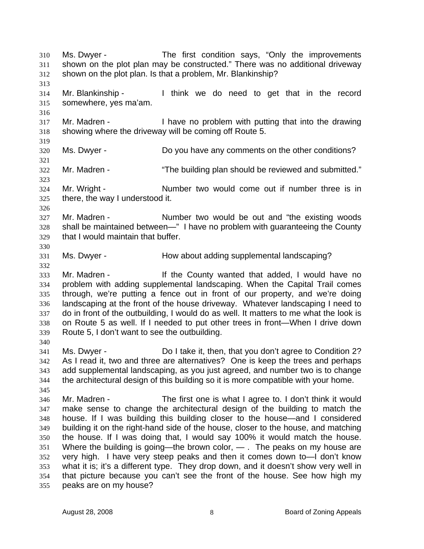Ms. Dwyer - The first condition says, "Only the improvements shown on the plot plan may be constructed." There was no additional driveway shown on the plot plan. Is that a problem, Mr. Blankinship? 310 311 312 313 314 315 316 317 318 319 320 321 322 323 324 325 326 327 328 329 330 331 332 333 334 335 336 337 338 339 340 341 342 343 344 345 346 347 348 349 350 351 352 353 354 355 Mr. Blankinship - I think we do need to get that in the record somewhere, yes ma'am. Mr. Madren - I have no problem with putting that into the drawing showing where the driveway will be coming off Route 5. Ms. Dwyer - Do you have any comments on the other conditions? Mr. Madren - "The building plan should be reviewed and submitted." Mr. Wright - Number two would come out if number three is in there, the way I understood it. Mr. Madren - The Sumber two would be out and "the existing woods" shall be maintained between—" I have no problem with guaranteeing the County that I would maintain that buffer. Ms. Dwyer - How about adding supplemental landscaping? Mr. Madren - The County wanted that added, I would have no problem with adding supplemental landscaping. When the Capital Trail comes through, we're putting a fence out in front of our property, and we're doing landscaping at the front of the house driveway. Whatever landscaping I need to do in front of the outbuilding, I would do as well. It matters to me what the look is on Route 5 as well. If I needed to put other trees in front—When I drive down Route 5, I don't want to see the outbuilding. Ms. Dwyer - Do I take it, then, that you don't agree to Condition 2? As I read it, two and three are alternatives? One is keep the trees and perhaps add supplemental landscaping, as you just agreed, and number two is to change the architectural design of this building so it is more compatible with your home. Mr. Madren - The first one is what I agree to. I don't think it would make sense to change the architectural design of the building to match the house. If I was building this building closer to the house—and I considered building it on the right-hand side of the house, closer to the house, and matching the house. If I was doing that, I would say 100% it would match the house. Where the building is going—the brown color,  $-$  . The peaks on my house are very high. I have very steep peaks and then it comes down to—I don't know what it is; it's a different type. They drop down, and it doesn't show very well in that picture because you can't see the front of the house. See how high my peaks are on my house?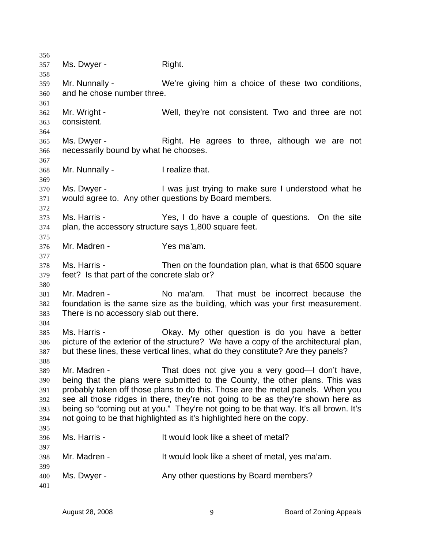356 357 358 359 360 361 362 363 364 365 366 367 368 369 370 371 372 373 374 375 376 377 378 379 380 381 382 383 384 385 386 387 388 389 390 391 392 393 394 395 396 397 398 399 400 401 Ms. Dwyer - Right. Mr. Nunnally - We're giving him a choice of these two conditions, and he chose number three. Mr. Wright - Well, they're not consistent. Two and three are not consistent. Ms. Dwyer - The Right. He agrees to three, although we are not necessarily bound by what he chooses. Mr. Nunnally - The I realize that. Ms. Dwyer - I was just trying to make sure I understood what he would agree to. Any other questions by Board members. Ms. Harris - Yes, I do have a couple of questions. On the site plan, the accessory structure says 1,800 square feet. Mr. Madren - Yes ma'am. Ms. Harris - Then on the foundation plan, what is that 6500 square feet? Is that part of the concrete slab or? Mr. Madren - No ma'am. That must be incorrect because the foundation is the same size as the building, which was your first measurement. There is no accessory slab out there. Ms. Harris - Okay. My other question is do you have a better picture of the exterior of the structure? We have a copy of the architectural plan, but these lines, these vertical lines, what do they constitute? Are they panels? Mr. Madren - That does not give you a very good—I don't have, being that the plans were submitted to the County, the other plans. This was probably taken off those plans to do this. Those are the metal panels. When you see all those ridges in there, they're not going to be as they're shown here as being so "coming out at you." They're not going to be that way. It's all brown. It's not going to be that highlighted as it's highlighted here on the copy. Ms. Harris - It would look like a sheet of metal? Mr. Madren - The Music et a sheet of metal, yes ma'am. Ms. Dwyer - Any other questions by Board members?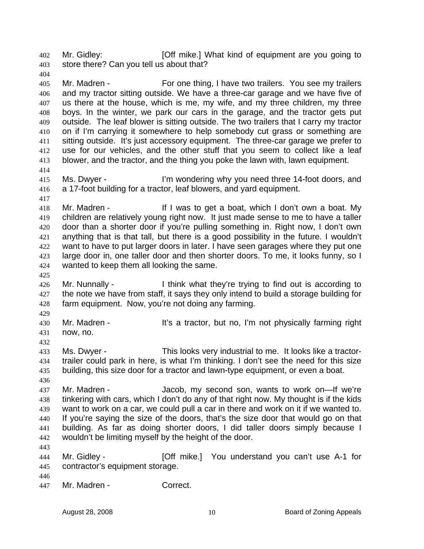Mr. Gidley: **[Off mike.]** What kind of equipment are you going to store there? Can you tell us about that? 402 403

405 406 407 408 409 410 411 412 413 Mr. Madren - For one thing, I have two trailers. You see my trailers and my tractor sitting outside. We have a three-car garage and we have five of us there at the house, which is me, my wife, and my three children, my three boys. In the winter, we park our cars in the garage, and the tractor gets put outside. The leaf blower is sitting outside. The two trailers that I carry my tractor on if I'm carrying it somewhere to help somebody cut grass or something are sitting outside. It's just accessory equipment. The three-car garage we prefer to use for our vehicles, and the other stuff that you seem to collect like a leaf blower, and the tractor, and the thing you poke the lawn with, lawn equipment.

415 416 Ms. Dwyer - The I'm wondering why you need three 14-foot doors, and a 17-foot building for a tractor, leaf blowers, and yard equipment.

418 419 420 421 422 423 424 Mr. Madren - The If I was to get a boat, which I don't own a boat. My children are relatively young right now. It just made sense to me to have a taller door than a shorter door if you're pulling something in. Right now, I don't own anything that is that tall, but there is a good possibility in the future. I wouldn't want to have to put larger doors in later. I have seen garages where they put one large door in, one taller door and then shorter doors. To me, it looks funny, so I wanted to keep them all looking the same.

- 426 427 428 Mr. Nunnally - I think what they're trying to find out is according to the note we have from staff, it says they only intend to build a storage building for farm equipment. Now, you're not doing any farming.
- 430 431 Mr. Madren - It's a tractor, but no, I'm not physically farming right now, no.
- 433 434 435 Ms. Dwyer - This looks very industrial to me. It looks like a tractortrailer could park in here, is what I'm thinking. I don't see the need for this size building, this size door for a tractor and lawn-type equipment, or even a boat.
- 436

404

414

417

425

429

432

437 438 439 440 441 442 Mr. Madren - Jacob, my second son, wants to work on—If we're tinkering with cars, which I don't do any of that right now. My thought is if the kids want to work on a car, we could pull a car in there and work on it if we wanted to. If you're saying the size of the doors, that's the size door that would go on that building. As far as doing shorter doors, I did taller doors simply because I wouldn't be limiting myself by the height of the door.

443

444 445 Mr. Gidley - **[Off mike.]** You understand you can't use A-1 for contractor's equipment storage.

446

447 Mr. Madren - Correct.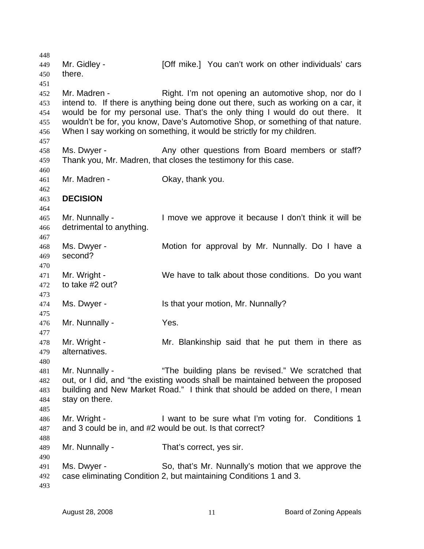448 449 450 451 452 453 454 455 456 457 458 459 460 461 462 463 464 465 466 467 468 469 470 471 472 473 474 475 476 477 478 479 480 481 482 483 484 485 486 487 488 489 490 491 492 493 Mr. Gidley - [Off mike.] You can't work on other individuals' cars there. Mr. Madren - The Right. I'm not opening an automotive shop, nor do I intend to. If there is anything being done out there, such as working on a car, it would be for my personal use. That's the only thing I would do out there. It wouldn't be for, you know, Dave's Automotive Shop, or something of that nature. When I say working on something, it would be strictly for my children. Ms. Dwyer - The Any other questions from Board members or staff? Thank you, Mr. Madren, that closes the testimony for this case. Mr. Madren - Ckay, thank you. **DECISION**  Mr. Nunnally - I move we approve it because I don't think it will be detrimental to anything. Ms. Dwyer - **Motion for approval by Mr. Nunnally.** Do I have a second? Mr. Wright - We have to talk about those conditions. Do you want to take #2 out? Ms. Dwyer - Is that your motion, Mr. Nunnally? Mr. Nunnally - Yes. Mr. Wright - Mr. Blankinship said that he put them in there as alternatives. Mr. Nunnally - "The building plans be revised." We scratched that out, or I did, and "the existing woods shall be maintained between the proposed building and New Market Road." I think that should be added on there, I mean stay on there. Mr. Wright - I want to be sure what I'm voting for. Conditions 1 and 3 could be in, and #2 would be out. Is that correct? Mr. Nunnally - That's correct, yes sir. Ms. Dwyer - So, that's Mr. Nunnally's motion that we approve the case eliminating Condition 2, but maintaining Conditions 1 and 3.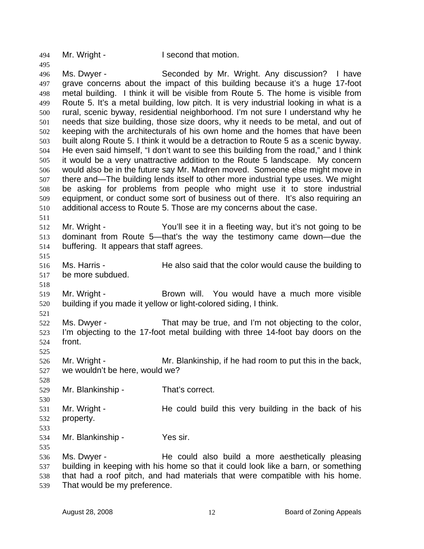494 Mr. Wright - I second that motion.

496 497 498 499 500 501 502 503 504 505 506 507 508 509 510 511 Ms. Dwyer - Seconded by Mr. Wright. Any discussion? I have grave concerns about the impact of this building because it's a huge 17-foot metal building. I think it will be visible from Route 5. The home is visible from Route 5. It's a metal building, low pitch. It is very industrial looking in what is a rural, scenic byway, residential neighborhood. I'm not sure I understand why he needs that size building, those size doors, why it needs to be metal, and out of keeping with the architecturals of his own home and the homes that have been built along Route 5. I think it would be a detraction to Route 5 as a scenic byway. He even said himself, "I don't want to see this building from the road," and I think it would be a very unattractive addition to the Route 5 landscape. My concern would also be in the future say Mr. Madren moved. Someone else might move in there and—The building lends itself to other more industrial type uses. We might be asking for problems from people who might use it to store industrial equipment, or conduct some sort of business out of there. It's also requiring an additional access to Route 5. Those are my concerns about the case.

512 513 514 Mr. Wright - You'll see it in a fleeting way, but it's not going to be dominant from Route 5—that's the way the testimony came down—due the buffering. It appears that staff agrees.

516 517 Ms. Harris - The also said that the color would cause the building to be more subdued.

519 520 Mr. Wright - The Brown will. You would have a much more visible building if you made it yellow or light-colored siding, I think.

521 522 523 524 Ms. Dwyer - That may be true, and I'm not objecting to the color, I'm objecting to the 17-foot metal building with three 14-foot bay doors on the front.

526 527 Mr. Wright - Mr. Blankinship, if he had room to put this in the back, we wouldn't be here, would we?

529 Mr. Blankinship - That's correct.

531 532 Mr. Wright - The could build this very building in the back of his property.

533

535

515

518

525

528

530

495

534 Mr. Blankinship - Yes sir.

536 537 538 539 Ms. Dwyer - He could also build a more aesthetically pleasing building in keeping with his home so that it could look like a barn, or something that had a roof pitch, and had materials that were compatible with his home. That would be my preference.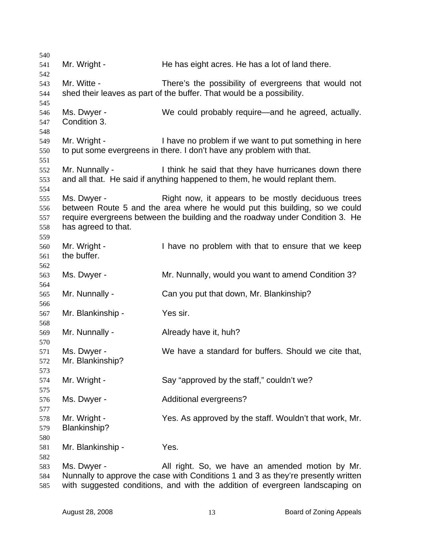| 540 |                     |                                                                                   |
|-----|---------------------|-----------------------------------------------------------------------------------|
| 541 | Mr. Wright -        | He has eight acres. He has a lot of land there.                                   |
| 542 |                     |                                                                                   |
| 543 | Mr. Witte -         | There's the possibility of evergreens that would not                              |
| 544 |                     | shed their leaves as part of the buffer. That would be a possibility.             |
| 545 |                     |                                                                                   |
| 546 | Ms. Dwyer -         | We could probably require—and he agreed, actually.                                |
| 547 | Condition 3.        |                                                                                   |
| 548 |                     |                                                                                   |
| 549 | Mr. Wright -        | I have no problem if we want to put something in here                             |
| 550 |                     | to put some evergreens in there. I don't have any problem with that.              |
| 551 |                     |                                                                                   |
| 552 | Mr. Nunnally -      | I think he said that they have hurricanes down there                              |
| 553 |                     | and all that. He said if anything happened to them, he would replant them.        |
| 554 |                     |                                                                                   |
| 555 | Ms. Dwyer -         | Right now, it appears to be mostly deciduous trees                                |
| 556 |                     | between Route 5 and the area where he would put this building, so we could        |
| 557 |                     | require evergreens between the building and the roadway under Condition 3. He     |
| 558 | has agreed to that. |                                                                                   |
| 559 |                     |                                                                                   |
| 560 | Mr. Wright -        | I have no problem with that to ensure that we keep                                |
| 561 | the buffer.         |                                                                                   |
| 562 |                     |                                                                                   |
| 563 | Ms. Dwyer -         | Mr. Nunnally, would you want to amend Condition 3?                                |
| 564 |                     |                                                                                   |
| 565 | Mr. Nunnally -      | Can you put that down, Mr. Blankinship?                                           |
| 566 |                     |                                                                                   |
| 567 | Mr. Blankinship -   | Yes sir.                                                                          |
| 568 |                     |                                                                                   |
| 569 | Mr. Nunnally -      | Already have it, huh?                                                             |
| 570 |                     |                                                                                   |
| 571 | Ms. Dwyer -         | We have a standard for buffers. Should we cite that,                              |
| 572 | Mr. Blankinship?    |                                                                                   |
| 573 |                     |                                                                                   |
| 574 | Mr. Wright -        | Say "approved by the staff," couldn't we?                                         |
| 575 |                     |                                                                                   |
| 576 | Ms. Dwyer -         | Additional evergreens?                                                            |
| 577 |                     |                                                                                   |
| 578 | Mr. Wright -        | Yes. As approved by the staff. Wouldn't that work, Mr.                            |
| 579 | Blankinship?        |                                                                                   |
| 580 |                     |                                                                                   |
| 581 | Mr. Blankinship -   | Yes.                                                                              |
| 582 |                     |                                                                                   |
| 583 | Ms. Dwyer -         | All right. So, we have an amended motion by Mr.                                   |
| 584 |                     | Nunnally to approve the case with Conditions 1 and 3 as they're presently written |
| 585 |                     | with suggested conditions, and with the addition of evergreen landscaping on      |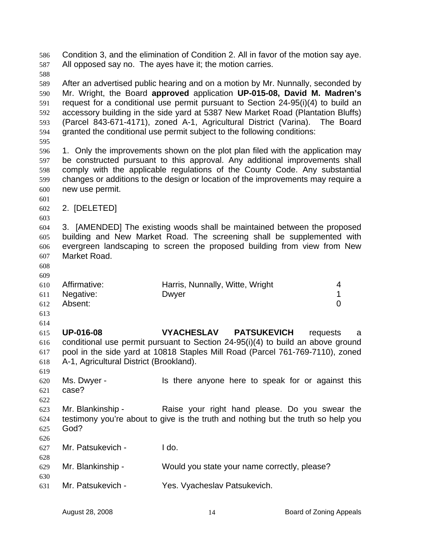Condition 3, and the elimination of Condition 2. All in favor of the motion say aye. All opposed say no. The ayes have it; the motion carries. 586 587 588 589 590 591 592 593 594 595 596 597 598 599 600 601 602 603 604 605 606 607 608 609 610 611 612 613 614 615 616 617 618 619 620 621 622 623 624 625 626 627 628 629 630 631 After an advertised public hearing and on a motion by Mr. Nunnally, seconded by Mr. Wright, the Board **approved** application **UP-015-08, David M. Madren's** request for a conditional use permit pursuant to Section 24-95(i)(4) to build an accessory building in the side yard at 5387 New Market Road (Plantation Bluffs) (Parcel 843-671-4171), zoned A-1, Agricultural District (Varina). The Board granted the conditional use permit subject to the following conditions: 1. Only the improvements shown on the plot plan filed with the application may be constructed pursuant to this approval. Any additional improvements shall comply with the applicable regulations of the County Code. Any substantial changes or additions to the design or location of the improvements may require a new use permit. 2. [DELETED] 3. [AMENDED] The existing woods shall be maintained between the proposed building and New Market Road. The screening shall be supplemented with evergreen landscaping to screen the proposed building from view from New Market Road. Affirmative: **Harris, Nunnally, Witte, Wright** 4 Negative: Dwyer 2008 Dwyer 2009 Absent: 0 **UP-016-08 VYACHESLAV PATSUKEVICH** requests a conditional use permit pursuant to Section 24-95(i)(4) to build an above ground pool in the side yard at 10818 Staples Mill Road (Parcel 761-769-7110), zoned A-1, Agricultural District (Brookland). Ms. Dwyer - The state is there anyone here to speak for or against this case? Mr. Blankinship - Raise your right hand please. Do you swear the testimony you're about to give is the truth and nothing but the truth so help you God? Mr. Patsukevich - Ido. Mr. Blankinship - Would you state your name correctly, please? Mr. Patsukevich - Yes. Vyacheslav Patsukevich.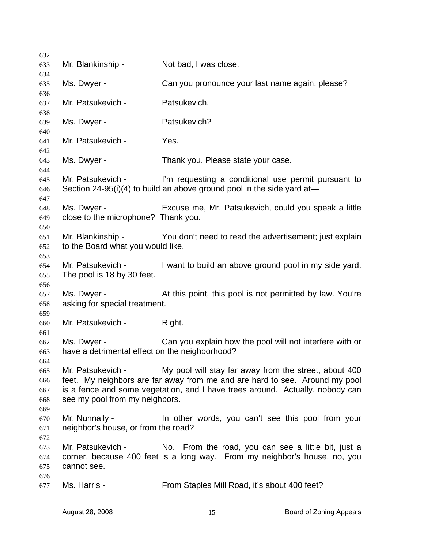Mr. Blankinship - Not bad, I was close. Ms. Dwyer - Can you pronounce your last name again, please? Mr. Patsukevich - Patsukevich. Ms. Dwyer - Patsukevich? Mr. Patsukevich - Yes. Ms. Dwyer - Thank you. Please state your case. Mr. Patsukevich - I'm requesting a conditional use permit pursuant to Section 24-95(i)(4) to build an above ground pool in the side yard at— Ms. Dwyer - Excuse me, Mr. Patsukevich, could you speak a little close to the microphone? Thank you. Mr. Blankinship - You don't need to read the advertisement; just explain to the Board what you would like. Mr. Patsukevich - I want to build an above ground pool in my side yard. The pool is 18 by 30 feet. Ms. Dwyer - At this point, this pool is not permitted by law. You're asking for special treatment. Mr. Patsukevich - Right. Ms. Dwyer - Can you explain how the pool will not interfere with or have a detrimental effect on the neighborhood? Mr. Patsukevich - My pool will stay far away from the street, about 400 feet. My neighbors are far away from me and are hard to see. Around my pool is a fence and some vegetation, and I have trees around. Actually, nobody can see my pool from my neighbors. Mr. Nunnally - The other words, you can't see this pool from your neighbor's house, or from the road? Mr. Patsukevich - No. From the road, you can see a little bit, just a corner, because 400 feet is a long way. From my neighbor's house, no, you cannot see. Ms. Harris - From Staples Mill Road, it's about 400 feet?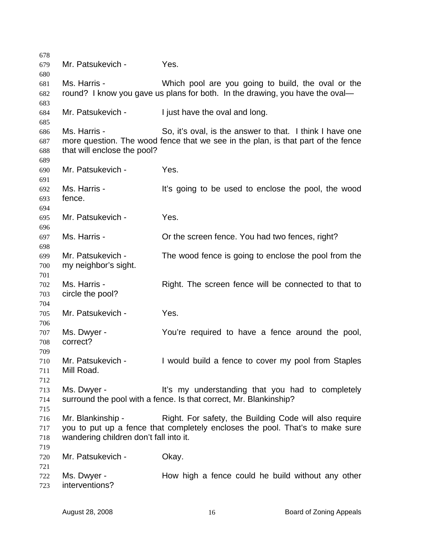Mr. Patsukevich - Yes. Ms. Harris - Which pool are you going to build, the oval or the round? I know you gave us plans for both. In the drawing, you have the oval— Mr. Patsukevich - I just have the oval and long. Ms. Harris - So, it's oval, is the answer to that. I think I have one more question. The wood fence that we see in the plan, is that part of the fence that will enclose the pool? Mr. Patsukevich - Yes. Ms. Harris - The Music of the used to enclose the pool, the wood fence. Mr. Patsukevich - Yes. Ms. Harris - Cr the screen fence. You had two fences, right? Mr. Patsukevich - The wood fence is going to enclose the pool from the my neighbor's sight. Ms. Harris - Right. The screen fence will be connected to that to circle the pool? Mr. Patsukevich - Yes. Ms. Dwyer - The You're required to have a fence around the pool, correct? Mr. Patsukevich - I would build a fence to cover my pool from Staples Mill Road. Ms. Dwyer - It's my understanding that you had to completely surround the pool with a fence. Is that correct, Mr. Blankinship? Mr. Blankinship - Right. For safety, the Building Code will also require you to put up a fence that completely encloses the pool. That's to make sure wandering children don't fall into it. Mr. Patsukevich - Okay. Ms. Dwyer - The How high a fence could he build without any other interventions?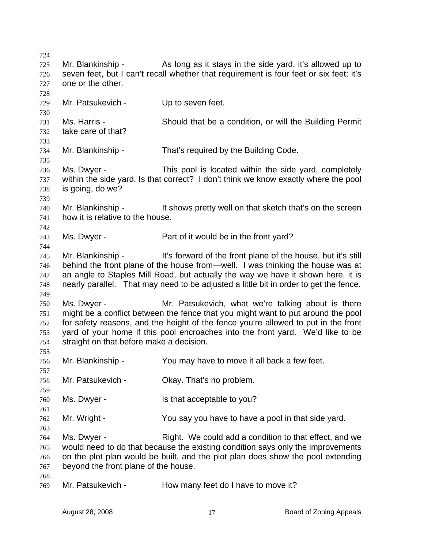724 725 726 727 728 729 730 731 732 733 734 735 736 737 738 739 740 741 742 743 744 745 746 747 748 749 750 751 752 753 754 755 756 757 758 759 760 761 762 763 764 765 766 767 768 769 Mr. Blankinship - As long as it stays in the side yard, it's allowed up to seven feet, but I can't recall whether that requirement is four feet or six feet; it's one or the other. Mr. Patsukevich - Up to seven feet. Ms. Harris - Should that be a condition, or will the Building Permit take care of that? Mr. Blankinship - That's required by the Building Code. Ms. Dwyer - This pool is located within the side yard, completely within the side yard. Is that correct? I don't think we know exactly where the pool is going, do we? Mr. Blankinship - This shows pretty well on that sketch that's on the screen how it is relative to the house. Ms. Dwyer - Part of it would be in the front yard? Mr. Blankinship - It's forward of the front plane of the house, but it's still behind the front plane of the house from—well. I was thinking the house was at an angle to Staples Mill Road, but actually the way we have it shown here, it is nearly parallel. That may need to be adjusted a little bit in order to get the fence. Ms. Dwyer - Mr. Patsukevich, what we're talking about is there might be a conflict between the fence that you might want to put around the pool for safety reasons, and the height of the fence you're allowed to put in the front yard of your home if this pool encroaches into the front yard. We'd like to be straight on that before make a decision. Mr. Blankinship - You may have to move it all back a few feet. Mr. Patsukevich - Okay. That's no problem. Ms. Dwyer - Is that acceptable to you? Mr. Wright - You say you have to have a pool in that side yard. Ms. Dwyer - Right. We could add a condition to that effect, and we would need to do that because the existing condition says only the improvements on the plot plan would be built, and the plot plan does show the pool extending beyond the front plane of the house. Mr. Patsukevich - How many feet do I have to move it?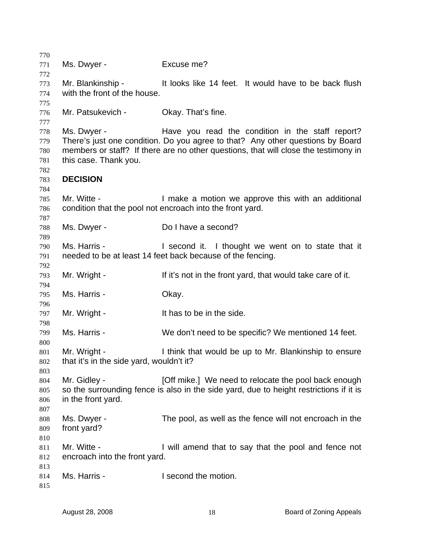Ms. Dwyer - Fxcuse me? Mr. Blankinship - The lit looks like 14 feet. It would have to be back flush with the front of the house. Mr. Patsukevich - Okay. That's fine. Ms. Dwyer - The Have you read the condition in the staff report? There's just one condition. Do you agree to that? Any other questions by Board members or staff? If there are no other questions, that will close the testimony in this case. Thank you. **DECISION**  Mr. Witte - The Muslim L make a motion we approve this with an additional condition that the pool not encroach into the front yard. Ms. Dwyer - Do I have a second? Ms. Harris - The Second it. I thought we went on to state that it needed to be at least 14 feet back because of the fencing. Mr. Wright - The If it's not in the front yard, that would take care of it. Ms. Harris - Chay. Mr. Wright - The State of the side. Ms. Harris - We don't need to be specific? We mentioned 14 feet. Mr. Wright - I think that would be up to Mr. Blankinship to ensure that it's in the side yard, wouldn't it? Mr. Gidley - **Example 10 Computed** Contribute.] We need to relocate the pool back enough so the surrounding fence is also in the side yard, due to height restrictions if it is in the front yard. Ms. Dwyer - The pool, as well as the fence will not encroach in the front yard? Mr. Witte - I will amend that to say that the pool and fence not encroach into the front yard. Ms. Harris - The Music Library of the motion.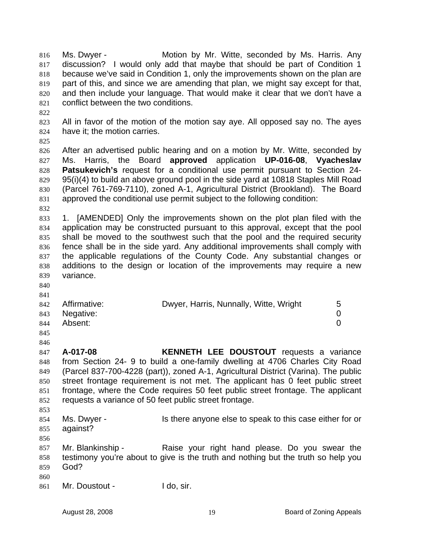Ms. Dwyer - Motion by Mr. Witte, seconded by Ms. Harris. Any discussion? I would only add that maybe that should be part of Condition 1 because we've said in Condition 1, only the improvements shown on the plan are part of this, and since we are amending that plan, we might say except for that, and then include your language. That would make it clear that we don't have a conflict between the two conditions. 816 817 818 819 820 821 822 823 824 825 826 827 828 829 830 831 832 833 834 835 836 837 All in favor of the motion of the motion say aye. All opposed say no. The ayes have it; the motion carries. After an advertised public hearing and on a motion by Mr. Witte, seconded by Ms. Harris, the Board **approved** application **UP-016-08**, **Vyacheslav Patsukevich's** request for a conditional use permit pursuant to Section 24- 95(i)(4) to build an above ground pool in the side yard at 10818 Staples Mill Road (Parcel 761-769-7110), zoned A-1, Agricultural District (Brookland). The Board approved the conditional use permit subject to the following condition: 1. [AMENDED] Only the improvements shown on the plot plan filed with the application may be constructed pursuant to this approval, except that the pool shall be moved to the southwest such that the pool and the required security fence shall be in the side yard. Any additional improvements shall comply with the applicable regulations of the County Code. Any substantial changes or

844 845 846 847 848 849 850 851 Absent: 0 **A-017-08 KENNETH LEE DOUSTOUT** requests a variance from Section 24- 9 to build a one-family dwelling at 4706 Charles City Road (Parcel 837-700-4228 (part)), zoned A-1, Agricultural District (Varina). The public street frontage requirement is not met. The applicant has 0 feet public street frontage, where the Code requires 50 feet public street frontage. The applicant

Affirmative: **Dwyer, Harris, Nunnally, Witte, Wright** 5 Negative: 0

additions to the design or location of the improvements may require a new

852 853 854 requests a variance of 50 feet public street frontage. Ms. Dwyer - Is there anyone else to speak to this case either for or

- 855 against?
- 856

variance.

857 858 859 Mr. Blankinship - Raise your right hand please. Do you swear the testimony you're about to give is the truth and nothing but the truth so help you God?

860

861 Mr. Doustout - I do, sir.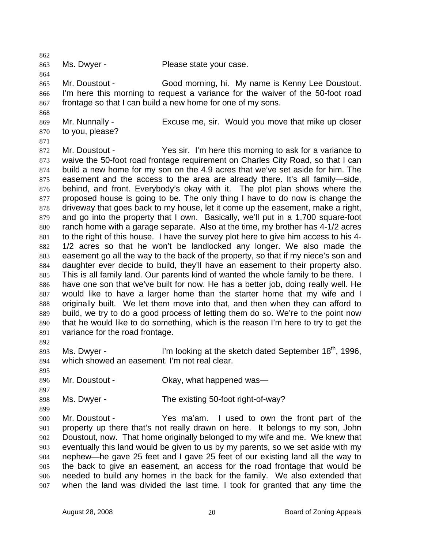863

Ms. Dwyer - Please state your case.

865 866 867 Mr. Doustout - Good morning, hi. My name is Kenny Lee Doustout. I'm here this morning to request a variance for the waiver of the 50-foot road frontage so that I can build a new home for one of my sons.

869 870 Mr. Nunnally - Excuse me, sir. Would you move that mike up closer to you, please?

871

868

862

864

872 873 874 875 876 877 878 879 880 881 882 883 884 885 886 887 888 889 890 891 892 Mr. Doustout - Yes sir. I'm here this morning to ask for a variance to waive the 50-foot road frontage requirement on Charles City Road, so that I can build a new home for my son on the 4.9 acres that we've set aside for him. The easement and the access to the area are already there. It's all family—side, behind, and front. Everybody's okay with it. The plot plan shows where the proposed house is going to be. The only thing I have to do now is change the driveway that goes back to my house, let it come up the easement, make a right, and go into the property that I own. Basically, we'll put in a 1,700 square-foot ranch home with a garage separate. Also at the time, my brother has 4-1/2 acres to the right of this house. I have the survey plot here to give him access to his 4- 1/2 acres so that he won't be landlocked any longer. We also made the easement go all the way to the back of the property, so that if my niece's son and daughter ever decide to build, they'll have an easement to their property also. This is all family land. Our parents kind of wanted the whole family to be there. I have one son that we've built for now. He has a better job, doing really well. He would like to have a larger home than the starter home that my wife and I originally built. We let them move into that, and then when they can afford to build, we try to do a good process of letting them do so. We're to the point now that he would like to do something, which is the reason I'm here to try to get the variance for the road frontage.

893 894 Ms. Dwyer - I'm looking at the sketch dated September  $18<sup>th</sup>$ , 1996, which showed an easement. I'm not real clear.

895 896

897

899

Mr. Doustout - Chay, what happened was-

898 Ms. Dwyer - The existing 50-foot right-of-way?

900 901 902 903 904 905 906 907 Mr. Doustout - Yes ma'am. I used to own the front part of the property up there that's not really drawn on here. It belongs to my son, John Doustout, now. That home originally belonged to my wife and me. We knew that eventually this land would be given to us by my parents, so we set aside with my nephew—he gave 25 feet and I gave 25 feet of our existing land all the way to the back to give an easement, an access for the road frontage that would be needed to build any homes in the back for the family. We also extended that when the land was divided the last time. I took for granted that any time the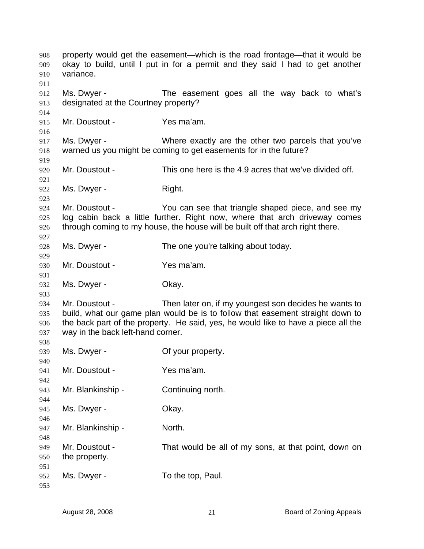| 908<br>909<br>910<br>911 | property would get the easement—which is the road frontage—that it would be<br>okay to build, until I put in for a permit and they said I had to get another<br>variance. |                                                                                    |  |
|--------------------------|---------------------------------------------------------------------------------------------------------------------------------------------------------------------------|------------------------------------------------------------------------------------|--|
| 912                      | Ms. Dwyer -                                                                                                                                                               | The easement goes all the way back to what's                                       |  |
| 913                      | designated at the Courtney property?                                                                                                                                      |                                                                                    |  |
| 914                      |                                                                                                                                                                           |                                                                                    |  |
| 915                      | Mr. Doustout -                                                                                                                                                            | Yes ma'am.                                                                         |  |
| 916                      |                                                                                                                                                                           |                                                                                    |  |
| 917                      | Ms. Dwyer -                                                                                                                                                               | Where exactly are the other two parcels that you've                                |  |
| 918<br>919               |                                                                                                                                                                           | warned us you might be coming to get easements for in the future?                  |  |
| 920                      | Mr. Doustout -                                                                                                                                                            | This one here is the 4.9 acres that we've divided off.                             |  |
| 921                      |                                                                                                                                                                           |                                                                                    |  |
| 922                      | Ms. Dwyer -                                                                                                                                                               | Right.                                                                             |  |
| 923                      |                                                                                                                                                                           |                                                                                    |  |
| 924                      | Mr. Doustout -                                                                                                                                                            | You can see that triangle shaped piece, and see my                                 |  |
| 925                      |                                                                                                                                                                           | log cabin back a little further. Right now, where that arch driveway comes         |  |
| 926                      |                                                                                                                                                                           | through coming to my house, the house will be built off that arch right there.     |  |
| 927                      |                                                                                                                                                                           |                                                                                    |  |
| 928                      | Ms. Dwyer -                                                                                                                                                               | The one you're talking about today.                                                |  |
| 929                      |                                                                                                                                                                           |                                                                                    |  |
| 930                      | Mr. Doustout -                                                                                                                                                            | Yes ma'am.                                                                         |  |
| 931                      |                                                                                                                                                                           |                                                                                    |  |
| 932                      | Ms. Dwyer -                                                                                                                                                               | Okay.                                                                              |  |
| 933                      |                                                                                                                                                                           |                                                                                    |  |
| 934                      | Mr. Doustout -                                                                                                                                                            | Then later on, if my youngest son decides he wants to                              |  |
| 935                      |                                                                                                                                                                           | build, what our game plan would be is to follow that easement straight down to     |  |
| 936                      |                                                                                                                                                                           | the back part of the property. He said, yes, he would like to have a piece all the |  |
| 937                      | way in the back left-hand corner.                                                                                                                                         |                                                                                    |  |
| 938                      |                                                                                                                                                                           |                                                                                    |  |
| 939                      | Ms. Dwyer -                                                                                                                                                               | Of your property.                                                                  |  |
| 940                      |                                                                                                                                                                           |                                                                                    |  |
| 941                      | Mr. Doustout -                                                                                                                                                            | Yes ma'am.                                                                         |  |
| 942                      |                                                                                                                                                                           |                                                                                    |  |
| 943                      | Mr. Blankinship -                                                                                                                                                         | Continuing north.                                                                  |  |
| 944                      |                                                                                                                                                                           |                                                                                    |  |
| 945                      | Ms. Dwyer -                                                                                                                                                               | Okay.                                                                              |  |
| 946                      |                                                                                                                                                                           |                                                                                    |  |
| 947                      | Mr. Blankinship -                                                                                                                                                         | North.                                                                             |  |
| 948                      |                                                                                                                                                                           |                                                                                    |  |
| 949                      | Mr. Doustout -                                                                                                                                                            | That would be all of my sons, at that point, down on                               |  |
| 950                      | the property.                                                                                                                                                             |                                                                                    |  |
| 951                      |                                                                                                                                                                           |                                                                                    |  |
| 952                      | Ms. Dwyer -                                                                                                                                                               | To the top, Paul.                                                                  |  |
| 953                      |                                                                                                                                                                           |                                                                                    |  |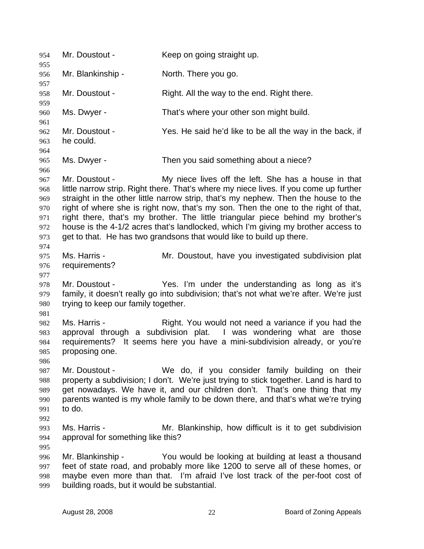954 Mr. Doustout - Keep on going straight up. 955 956 957 958 959 960 961 962 963 964 965 966 967 968 969 970 971 972 973 974 975 976 977 978 979 980 981 982 983 984 985 986 987 988 989 990 991 992 993 994 995 996 997 998 999 Mr. Blankinship - North. There you go. Mr. Doustout - Right. All the way to the end. Right there. Ms. Dwyer - That's where your other son might build. Mr. Doustout - Yes. He said he'd like to be all the way in the back, if he could. Ms. Dwyer - Then you said something about a niece? Mr. Doustout - My niece lives off the left. She has a house in that little narrow strip. Right there. That's where my niece lives. If you come up further straight in the other little narrow strip, that's my nephew. Then the house to the right of where she is right now, that's my son. Then the one to the right of that, right there, that's my brother. The little triangular piece behind my brother's house is the 4-1/2 acres that's landlocked, which I'm giving my brother access to get to that. He has two grandsons that would like to build up there. Ms. Harris - **Mr. Doustout, have you investigated subdivision plat** requirements? Mr. Doustout - Yes. I'm under the understanding as long as it's family, it doesn't really go into subdivision; that's not what we're after. We're just trying to keep our family together. Ms. Harris - The Right. You would not need a variance if you had the approval through a subdivision plat. I was wondering what are those requirements? It seems here you have a mini-subdivision already, or you're proposing one. Mr. Doustout - We do, if you consider family building on their property a subdivision; I don't. We're just trying to stick together. Land is hard to get nowadays. We have it, and our children don't. That's one thing that my parents wanted is my whole family to be down there, and that's what we're trying to do. Ms. Harris - The Mr. Blankinship, how difficult is it to get subdivision approval for something like this? Mr. Blankinship - You would be looking at building at least a thousand feet of state road, and probably more like 1200 to serve all of these homes, or maybe even more than that. I'm afraid I've lost track of the per-foot cost of building roads, but it would be substantial.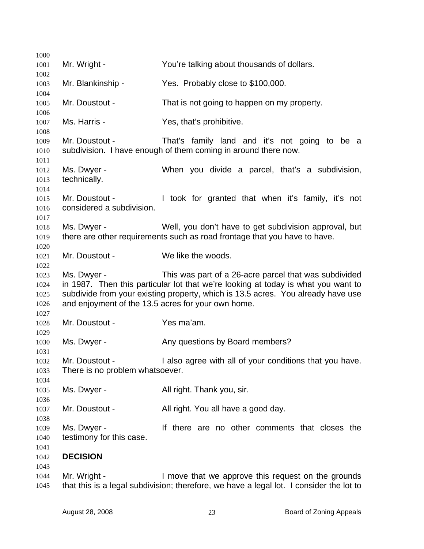| 1000         |                                                    |                                                                                   |
|--------------|----------------------------------------------------|-----------------------------------------------------------------------------------|
| 1001         | Mr. Wright -                                       | You're talking about thousands of dollars.                                        |
| 1002         |                                                    |                                                                                   |
| 1003         | Mr. Blankinship -                                  | Yes. Probably close to \$100,000.                                                 |
| 1004         | Mr. Doustout -                                     |                                                                                   |
| 1005<br>1006 |                                                    | That is not going to happen on my property.                                       |
| 1007         | Ms. Harris -                                       | Yes, that's prohibitive.                                                          |
| 1008         |                                                    |                                                                                   |
| 1009         | Mr. Doustout -                                     | That's family land and it's not going to be a                                     |
| 1010         |                                                    | subdivision. I have enough of them coming in around there now.                    |
| 1011         |                                                    |                                                                                   |
| 1012         | Ms. Dwyer -                                        | When you divide a parcel, that's a subdivision,                                   |
| 1013         | technically.                                       |                                                                                   |
| 1014         |                                                    |                                                                                   |
| 1015         | Mr. Doustout -                                     | I took for granted that when it's family, it's not                                |
| 1016         | considered a subdivision.                          |                                                                                   |
| 1017         |                                                    |                                                                                   |
| 1018         | Ms. Dwyer -                                        | Well, you don't have to get subdivision approval, but                             |
| 1019<br>1020 |                                                    | there are other requirements such as road frontage that you have to have.         |
| 1021         | Mr. Doustout -                                     | We like the woods.                                                                |
| 1022         |                                                    |                                                                                   |
| 1023         | Ms. Dwyer -                                        | This was part of a 26-acre parcel that was subdivided                             |
| 1024         |                                                    | in 1987. Then this particular lot that we're looking at today is what you want to |
| 1025         |                                                    | subdivide from your existing property, which is 13.5 acres. You already have use  |
| 1026         | and enjoyment of the 13.5 acres for your own home. |                                                                                   |
| 1027         |                                                    |                                                                                   |
| 1028         | Mr. Doustout -                                     | Yes ma'am.                                                                        |
| 1029         |                                                    |                                                                                   |
| 1030         | Ms. Dwyer -                                        | Any questions by Board members?                                                   |
| 1031         |                                                    |                                                                                   |
| 1032         |                                                    | Mr. Doustout - I also agree with all of your conditions that you have.            |
| 1033<br>1034 | There is no problem whatsoever.                    |                                                                                   |
| 1035         | Ms. Dwyer -                                        | All right. Thank you, sir.                                                        |
| 1036         |                                                    |                                                                                   |
| 1037         | Mr. Doustout -                                     | All right. You all have a good day.                                               |
| 1038         |                                                    |                                                                                   |
| 1039         | Ms. Dwyer -                                        | If there are no other comments that closes the                                    |
| 1040         | testimony for this case.                           |                                                                                   |
| 1041         |                                                    |                                                                                   |
| 1042         | <b>DECISION</b>                                    |                                                                                   |
| 1043         |                                                    |                                                                                   |
| 1044         | Mr. Wright -                                       | I move that we approve this request on the grounds                                |

 that this is a legal subdivision; therefore, we have a legal lot. I consider the lot to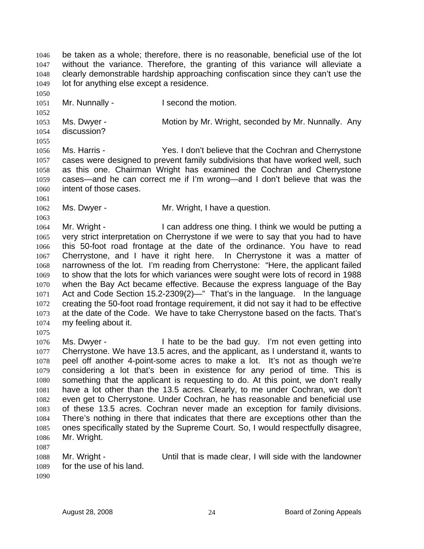be taken as a whole; therefore, there is no reasonable, beneficial use of the lot without the variance. Therefore, the granting of this variance will alleviate a clearly demonstrable hardship approaching confiscation since they can't use the lot for anything else except a residence. 1046 1047 1048 1049 1050 1051 1052 1053 1054 1055 1056 1057 1058 1059 1060 1061 1062 1063 1064 1065 1066 1067 1068 1069 1070 1071 1072 1073 1074 1075 1076 1077 1078 1079 1080 1081 1082 1083 1084 1085 1086 1087 1088 1089 1090 Mr. Nunnally - The Second the motion. Ms. Dwyer - **Motion by Mr. Wright, seconded by Mr. Nunnally.** Any discussion? Ms. Harris - Yes. I don't believe that the Cochran and Cherrystone cases were designed to prevent family subdivisions that have worked well, such as this one. Chairman Wright has examined the Cochran and Cherrystone cases—and he can correct me if I'm wrong—and I don't believe that was the intent of those cases. Ms. Dwyer - Mr. Wright, I have a question. Mr. Wright - I can address one thing. I think we would be putting a very strict interpretation on Cherrystone if we were to say that you had to have this 50-foot road frontage at the date of the ordinance. You have to read Cherrystone, and I have it right here. In Cherrystone it was a matter of narrowness of the lot. I'm reading from Cherrystone: "Here, the applicant failed to show that the lots for which variances were sought were lots of record in 1988 when the Bay Act became effective. Because the express language of the Bay Act and Code Section 15.2-2309(2)—" That's in the language. In the language creating the 50-foot road frontage requirement, it did not say it had to be effective at the date of the Code. We have to take Cherrystone based on the facts. That's my feeling about it. Ms. Dwyer - I hate to be the bad guy. I'm not even getting into Cherrystone. We have 13.5 acres, and the applicant, as I understand it, wants to peel off another 4-point-some acres to make a lot. It's not as though we're considering a lot that's been in existence for any period of time. This is something that the applicant is requesting to do. At this point, we don't really have a lot other than the 13.5 acres. Clearly, to me under Cochran, we don't even get to Cherrystone. Under Cochran, he has reasonable and beneficial use of these 13.5 acres. Cochran never made an exception for family divisions. There's nothing in there that indicates that there are exceptions other than the ones specifically stated by the Supreme Court. So, I would respectfully disagree, Mr. Wright. Mr. Wright - Until that is made clear, I will side with the landowner for the use of his land.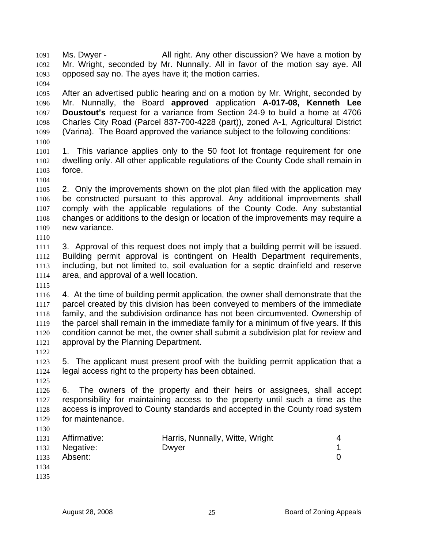Ms. Dwyer - All right. Any other discussion? We have a motion by Mr. Wright, seconded by Mr. Nunnally. All in favor of the motion say aye. All opposed say no. The ayes have it; the motion carries. 1091 1092 1093

1095 1096 1097 1098 1099 After an advertised public hearing and on a motion by Mr. Wright, seconded by Mr. Nunnally, the Board **approved** application **A-017-08, Kenneth Lee Doustout's** request for a variance from Section 24-9 to build a home at 4706 Charles City Road (Parcel 837-700-4228 (part)), zoned A-1, Agricultural District (Varina). The Board approved the variance subject to the following conditions:

- 1100 1101 1102 1103 1. This variance applies only to the 50 foot lot frontage requirement for one dwelling only. All other applicable regulations of the County Code shall remain in force.
- 1105 1106 1107 1108 1109 1110 2. Only the improvements shown on the plot plan filed with the application may be constructed pursuant to this approval. Any additional improvements shall comply with the applicable regulations of the County Code. Any substantial changes or additions to the design or location of the improvements may require a new variance.

1111 1112 1113 1114 3. Approval of this request does not imply that a building permit will be issued. Building permit approval is contingent on Health Department requirements, including, but not limited to, soil evaluation for a septic drainfield and reserve area, and approval of a well location.

1115

1094

1104

1116 1117 1118 1119 1120 1121 4. At the time of building permit application, the owner shall demonstrate that the parcel created by this division has been conveyed to members of the immediate family, and the subdivision ordinance has not been circumvented. Ownership of the parcel shall remain in the immediate family for a minimum of five years. If this condition cannot be met, the owner shall submit a subdivision plat for review and approval by the Planning Department.

1122

1123 1124 5. The applicant must present proof with the building permit application that a legal access right to the property has been obtained.

1125

1126 1127 1128 1129 1130 6. The owners of the property and their heirs or assignees, shall accept responsibility for maintaining access to the property until such a time as the access is improved to County standards and accepted in the County road system for maintenance.

- 1131 1132 1133 1134 Affirmative: **Harris, Nunnally, Witte, Wright** 4 Negative: Dwyer 2009 During David Negative: 1 Absent: 0
- 1135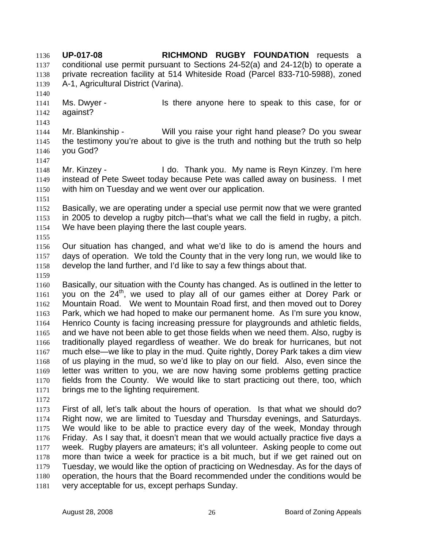**UP-017-08 RICHMOND RUGBY FOUNDATION** requests a conditional use permit pursuant to Sections 24-52(a) and 24-12(b) to operate a private recreation facility at 514 Whiteside Road (Parcel 833-710-5988), zoned A-1, Agricultural District (Varina). 1136 1137 1138 1139 1140

- 1141 1142 1143 Ms. Dwyer - Is there anyone here to speak to this case, for or against?
- 1144 1145 1146 Mr. Blankinship - Will you raise your right hand please? Do you swear the testimony you're about to give is the truth and nothing but the truth so help you God?
- 1147

1148 1149 1150 1151 Mr. Kinzey - **I** do. Thank you. My name is Reyn Kinzey. I'm here instead of Pete Sweet today because Pete was called away on business. I met with him on Tuesday and we went over our application.

- 1152 1153 1154 Basically, we are operating under a special use permit now that we were granted in 2005 to develop a rugby pitch—that's what we call the field in rugby, a pitch. We have been playing there the last couple years.
- 1156 1157 1158 Our situation has changed, and what we'd like to do is amend the hours and days of operation. We told the County that in the very long run, we would like to develop the land further, and I'd like to say a few things about that.
- 1159

1155

1160 1161 1162 1163 1164 1165 1166 1167 1168 1169 1170 1171 Basically, our situation with the County has changed. As is outlined in the letter to you on the 24<sup>th</sup>, we used to play all of our games either at Dorey Park or Mountain Road. We went to Mountain Road first, and then moved out to Dorey Park, which we had hoped to make our permanent home. As I'm sure you know, Henrico County is facing increasing pressure for playgrounds and athletic fields, and we have not been able to get those fields when we need them. Also, rugby is traditionally played regardless of weather. We do break for hurricanes, but not much else—we like to play in the mud. Quite rightly, Dorey Park takes a dim view of us playing in the mud, so we'd like to play on our field. Also, even since the letter was written to you, we are now having some problems getting practice fields from the County. We would like to start practicing out there, too, which brings me to the lighting requirement.

1172

1173 1174 1175 1176 1177 1178 1179 1180 1181 First of all, let's talk about the hours of operation. Is that what we should do? Right now, we are limited to Tuesday and Thursday evenings, and Saturdays. We would like to be able to practice every day of the week, Monday through Friday. As I say that, it doesn't mean that we would actually practice five days a week. Rugby players are amateurs; it's all volunteer. Asking people to come out more than twice a week for practice is a bit much, but if we get rained out on Tuesday, we would like the option of practicing on Wednesday. As for the days of operation, the hours that the Board recommended under the conditions would be very acceptable for us, except perhaps Sunday.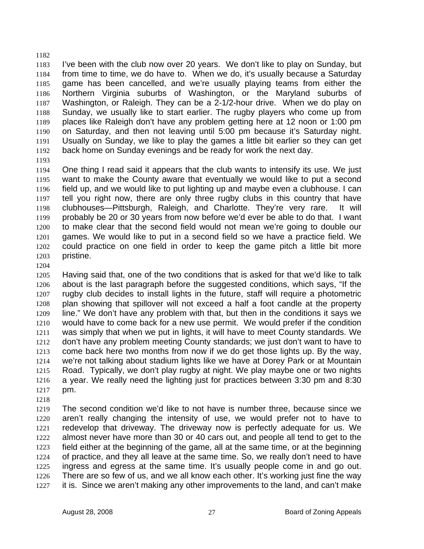1183 1184 1185 1186 1187 1188 1189 1190 1191 1192 I've been with the club now over 20 years. We don't like to play on Sunday, but from time to time, we do have to. When we do, it's usually because a Saturday game has been cancelled, and we're usually playing teams from either the Northern Virginia suburbs of Washington, or the Maryland suburbs of Washington, or Raleigh. They can be a 2-1/2-hour drive. When we do play on Sunday, we usually like to start earlier. The rugby players who come up from places like Raleigh don't have any problem getting here at 12 noon or 1:00 pm on Saturday, and then not leaving until 5:00 pm because it's Saturday night. Usually on Sunday, we like to play the games a little bit earlier so they can get back home on Sunday evenings and be ready for work the next day.

1193

1182

1194 1195 1196 1197 1198 1199 1200 1201 1202 1203 One thing I read said it appears that the club wants to intensify its use. We just want to make the County aware that eventually we would like to put a second field up, and we would like to put lighting up and maybe even a clubhouse. I can tell you right now, there are only three rugby clubs in this country that have clubhouses—Pittsburgh, Raleigh, and Charlotte. They're very rare. It will probably be 20 or 30 years from now before we'd ever be able to do that. I want to make clear that the second field would not mean we're going to double our games. We would like to put in a second field so we have a practice field. We could practice on one field in order to keep the game pitch a little bit more pristine.

1204

1205 1206 1207 1208 1209 1210 1211 1212 1213 1214 1215 1216 1217 Having said that, one of the two conditions that is asked for that we'd like to talk about is the last paragraph before the suggested conditions, which says, "If the rugby club decides to install lights in the future, staff will require a photometric plan showing that spillover will not exceed a half a foot candle at the property line." We don't have any problem with that, but then in the conditions it says we would have to come back for a new use permit. We would prefer if the condition was simply that when we put in lights, it will have to meet County standards. We don't have any problem meeting County standards; we just don't want to have to come back here two months from now if we do get those lights up. By the way, we're not talking about stadium lights like we have at Dorey Park or at Mountain Road. Typically, we don't play rugby at night. We play maybe one or two nights a year. We really need the lighting just for practices between 3:30 pm and 8:30 pm.

1218

1219 1220 1221 1222 1223 1224 1225 1226 1227 The second condition we'd like to not have is number three, because since we aren't really changing the intensity of use, we would prefer not to have to redevelop that driveway. The driveway now is perfectly adequate for us. We almost never have more than 30 or 40 cars out, and people all tend to get to the field either at the beginning of the game, all at the same time, or at the beginning of practice, and they all leave at the same time. So, we really don't need to have ingress and egress at the same time. It's usually people come in and go out. There are so few of us, and we all know each other. It's working just fine the way it is. Since we aren't making any other improvements to the land, and can't make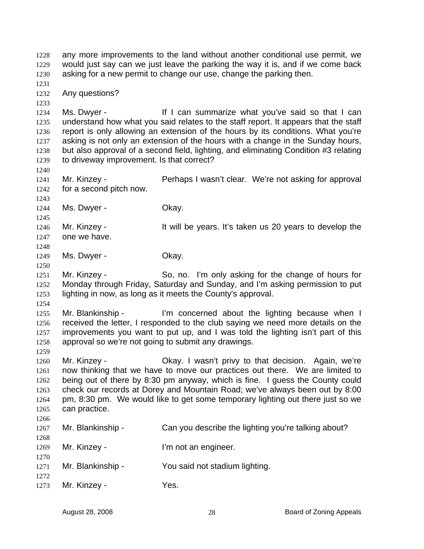any more improvements to the land without another conditional use permit, we would just say can we just leave the parking the way it is, and if we come back asking for a new permit to change our use, change the parking then. 1228 1229 1230 1231 1232 1233 1234 1235 1236 1237 1238 1239 1240 1241 1242 1243 1244 1245 1246 1247 1248 1249 1250 1251 1252 1253 1254 1255 1256 1257 1258 1259 1260 1261 1262 1263 1264 1265 1266 1267 1268 1269 1270 1271 1272 1273 Any questions? Ms. Dwyer - If I can summarize what you've said so that I can understand how what you said relates to the staff report. It appears that the staff report is only allowing an extension of the hours by its conditions. What you're asking is not only an extension of the hours with a change in the Sunday hours, but also approval of a second field, lighting, and eliminating Condition #3 relating to driveway improvement. Is that correct? Mr. Kinzey - **Perhaps I wasn't clear.** We're not asking for approval for a second pitch now. Ms. Dwyer - Chay. Mr. Kinzey - It will be years. It's taken us 20 years to develop the one we have. Ms. Dwyer - Chay. Mr. Kinzey - So, no. I'm only asking for the change of hours for Monday through Friday, Saturday and Sunday, and I'm asking permission to put lighting in now, as long as it meets the County's approval. Mr. Blankinship - I'm concerned about the lighting because when I received the letter, I responded to the club saying we need more details on the improvements you want to put up, and I was told the lighting isn't part of this approval so we're not going to submit any drawings. Mr. Kinzey - Okay. I wasn't privy to that decision. Again, we're now thinking that we have to move our practices out there. We are limited to being out of there by 8:30 pm anyway, which is fine. I guess the County could check our records at Dorey and Mountain Road; we've always been out by 8:00 pm, 8:30 pm. We would like to get some temporary lighting out there just so we can practice. Mr. Blankinship - Can you describe the lighting you're talking about? Mr. Kinzey - **I'm not an engineer.** Mr. Blankinship - You said not stadium lighting. Mr. Kinzey - Yes.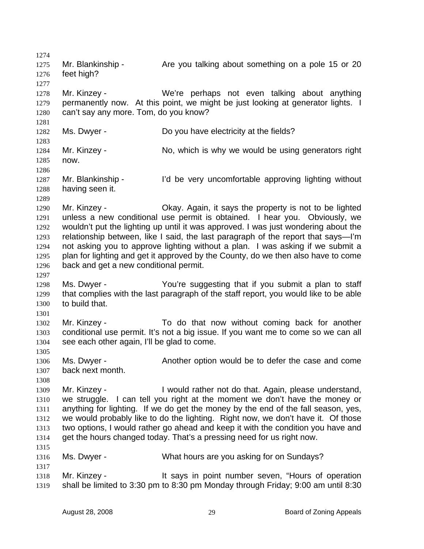1274 1275 1276 1277 1278 1279 1280 1281 1282 1283 1284 1285 1286 1287 1288 1289 1290 1291 1292 1293 1294 1295 1296 1297 1298 1299 1300 1301 1302 1303 1304 1305 1306 1307 1308 1309 1310 1311 1312 1313 1314 1315 1316 1317 1318 1319 Mr. Blankinship - Are you talking about something on a pole 15 or 20 feet high? Mr. Kinzey - We're perhaps not even talking about anything permanently now. At this point, we might be just looking at generator lights. I can't say any more. Tom, do you know? Ms. Dwyer - Do you have electricity at the fields? Mr. Kinzey - No, which is why we would be using generators right now. Mr. Blankinship - I'd be very uncomfortable approving lighting without having seen it. Mr. Kinzey - Okay. Again, it says the property is not to be lighted unless a new conditional use permit is obtained. I hear you. Obviously, we wouldn't put the lighting up until it was approved. I was just wondering about the relationship between, like I said, the last paragraph of the report that says—I'm not asking you to approve lighting without a plan. I was asking if we submit a plan for lighting and get it approved by the County, do we then also have to come back and get a new conditional permit. Ms. Dwyer - The You're suggesting that if you submit a plan to staff that complies with the last paragraph of the staff report, you would like to be able to build that. Mr. Kinzey - To do that now without coming back for another conditional use permit. It's not a big issue. If you want me to come so we can all see each other again, I'll be glad to come. Ms. Dwyer - The Another option would be to defer the case and come back next month. Mr. Kinzey - I would rather not do that. Again, please understand, we struggle. I can tell you right at the moment we don't have the money or anything for lighting. If we do get the money by the end of the fall season, yes, we would probably like to do the lighting. Right now, we don't have it. Of those two options, I would rather go ahead and keep it with the condition you have and get the hours changed today. That's a pressing need for us right now. Ms. Dwyer - What hours are you asking for on Sundays? Mr. Kinzey - It says in point number seven, "Hours of operation shall be limited to 3:30 pm to 8:30 pm Monday through Friday; 9:00 am until 8:30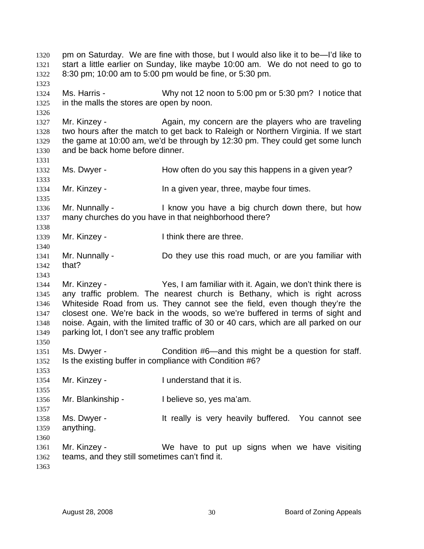pm on Saturday. We are fine with those, but I would also like it to be—I'd like to start a little earlier on Sunday, like maybe 10:00 am. We do not need to go to 8:30 pm; 10:00 am to 5:00 pm would be fine, or 5:30 pm. 1320 1321 1322 1323 1324 1325 1326 1327 1328 1329 1330 1331 1332 1333 1334 1335 1336 1337 1338 1339 1340 1341 1342 1343 1344 1345 1346 1347 1348 1349 1350 1351 1352 1353 1354 1355 1356 1357 1358 1359 1360 1361 1362 1363 Ms. Harris - Why not 12 noon to 5:00 pm or 5:30 pm? I notice that in the malls the stores are open by noon. Mr. Kinzey - Again, my concern are the players who are traveling two hours after the match to get back to Raleigh or Northern Virginia. If we start the game at 10:00 am, we'd be through by 12:30 pm. They could get some lunch and be back home before dinner. Ms. Dwyer - The How often do you say this happens in a given year? Mr. Kinzey - The a given year, three, maybe four times. Mr. Nunnally - I know you have a big church down there, but how many churches do you have in that neighborhood there? Mr. Kinzey - Think there are three. Mr. Nunnally - **Do they use this road much, or are you familiar with** that? Mr. Kinzey - Yes, I am familiar with it. Again, we don't think there is any traffic problem. The nearest church is Bethany, which is right across Whiteside Road from us. They cannot see the field, even though they're the closest one. We're back in the woods, so we're buffered in terms of sight and noise. Again, with the limited traffic of 30 or 40 cars, which are all parked on our parking lot, I don't see any traffic problem Ms. Dwyer - Condition #6—and this might be a question for staff. Is the existing buffer in compliance with Condition #6? Mr. Kinzey - The Understand that it is. Mr. Blankinship - I believe so, yes ma'am. Ms. Dwyer - The Music of the really is very heavily buffered. You cannot see anything. Mr. Kinzey - We have to put up signs when we have visiting teams, and they still sometimes can't find it.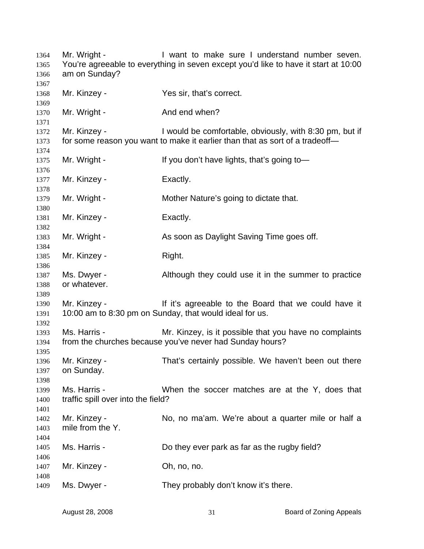Mr. Wright - I want to make sure I understand number seven. You're agreeable to everything in seven except you'd like to have it start at 10:00 am on Sunday? Mr. Kinzey - Yes sir, that's correct. Mr. Wright - And end when? Mr. Kinzey - I would be comfortable, obviously, with 8:30 pm, but if for some reason you want to make it earlier than that as sort of a tradeoff— Mr. Wright - If you don't have lights, that's going to— Mr. Kinzey - Exactly. Mr. Wright - Mother Nature's going to dictate that. Mr. Kinzey - Exactly. Mr. Wright - As soon as Daylight Saving Time goes off. Mr. Kinzey - Right. Ms. Dwyer - Although they could use it in the summer to practice or whatever. Mr. Kinzey - The Mr it's agreeable to the Board that we could have it 10:00 am to 8:30 pm on Sunday, that would ideal for us. Ms. Harris - The Mr. Kinzey, is it possible that you have no complaints from the churches because you've never had Sunday hours? Mr. Kinzey - That's certainly possible. We haven't been out there on Sunday. Ms. Harris - When the soccer matches are at the Y, does that traffic spill over into the field? Mr. Kinzey - No, no ma'am. We're about a quarter mile or half a mile from the Y. Ms. Harris - Do they ever park as far as the rugby field? Mr. Kinzey - Ch, no, no. Ms. Dwyer - They probably don't know it's there.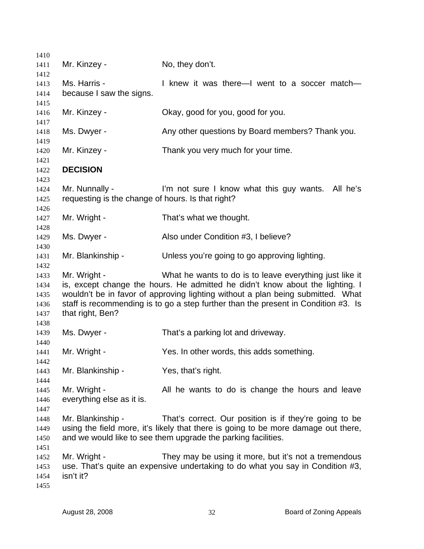| 1410         |                                                                     |                                                                                                                                          |
|--------------|---------------------------------------------------------------------|------------------------------------------------------------------------------------------------------------------------------------------|
| 1411         | Mr. Kinzey -                                                        | No, they don't.                                                                                                                          |
| 1412         |                                                                     |                                                                                                                                          |
| 1413         | Ms. Harris -                                                        | I knew it was there—I went to a soccer match—                                                                                            |
| 1414         | because I saw the signs.                                            |                                                                                                                                          |
| 1415<br>1416 | Mr. Kinzey -                                                        | Okay, good for you, good for you.                                                                                                        |
| 1417         |                                                                     |                                                                                                                                          |
| 1418<br>1419 | Ms. Dwyer -                                                         | Any other questions by Board members? Thank you.                                                                                         |
| 1420         | Mr. Kinzey -                                                        | Thank you very much for your time.                                                                                                       |
| 1421<br>1422 | <b>DECISION</b>                                                     |                                                                                                                                          |
| 1423         |                                                                     |                                                                                                                                          |
| 1424<br>1425 | Mr. Nunnally -<br>requesting is the change of hours. Is that right? | I'm not sure I know what this guy wants. All he's                                                                                        |
| 1426         |                                                                     |                                                                                                                                          |
| 1427         | Mr. Wright -                                                        | That's what we thought.                                                                                                                  |
| 1428         |                                                                     |                                                                                                                                          |
| 1429         | Ms. Dwyer -                                                         | Also under Condition #3, I believe?                                                                                                      |
| 1430         |                                                                     |                                                                                                                                          |
| 1431         | Mr. Blankinship -                                                   | Unless you're going to go approving lighting.                                                                                            |
| 1432         |                                                                     |                                                                                                                                          |
| 1433         | Mr. Wright -                                                        | What he wants to do is to leave everything just like it<br>is, except change the hours. He admitted he didn't know about the lighting. I |
| 1434<br>1435 |                                                                     | wouldn't be in favor of approving lighting without a plan being submitted. What                                                          |
| 1436         |                                                                     | staff is recommending is to go a step further than the present in Condition #3. Is                                                       |
| 1437         | that right, Ben?                                                    |                                                                                                                                          |
| 1438         |                                                                     |                                                                                                                                          |
| 1439         | Ms. Dwyer -                                                         | That's a parking lot and driveway.                                                                                                       |
| 1440         |                                                                     |                                                                                                                                          |
| 1441         | Mr. Wright -                                                        | Yes. In other words, this adds something.                                                                                                |
| 1442         |                                                                     |                                                                                                                                          |
| 1443         | Mr. Blankinship -                                                   | Yes, that's right.                                                                                                                       |
| 1444<br>1445 | Mr. Wright -                                                        |                                                                                                                                          |
| 1446         | everything else as it is.                                           | All he wants to do is change the hours and leave                                                                                         |
| 1447         |                                                                     |                                                                                                                                          |
| 1448         | Mr. Blankinship -                                                   | That's correct. Our position is if they're going to be                                                                                   |
| 1449         |                                                                     | using the field more, it's likely that there is going to be more damage out there,                                                       |
| 1450         |                                                                     | and we would like to see them upgrade the parking facilities.                                                                            |
| 1451         |                                                                     |                                                                                                                                          |
| 1452         | Mr. Wright -                                                        | They may be using it more, but it's not a tremendous                                                                                     |
| 1453         |                                                                     | use. That's quite an expensive undertaking to do what you say in Condition #3,                                                           |
| 1454         | isn't it?                                                           |                                                                                                                                          |
| 1455         |                                                                     |                                                                                                                                          |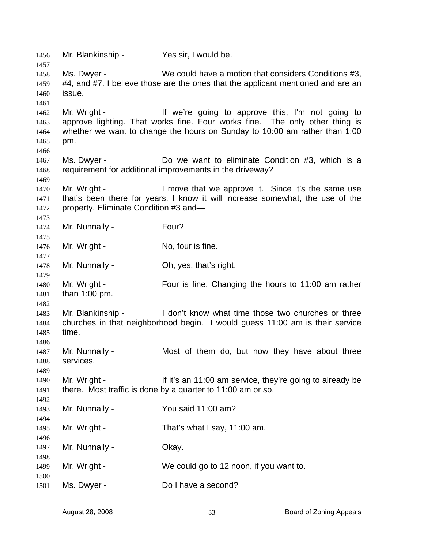Mr. Blankinship - Yes sir, I would be. Ms. Dwyer - We could have a motion that considers Conditions #3, #4, and #7. I believe those are the ones that the applicant mentioned and are an issue. Mr. Wright - The Muslim of the Vietnam of the Vietnam of the Muslim of the Muslim of the Muslim of the Muslim o approve lighting. That works fine. Four works fine. The only other thing is whether we want to change the hours on Sunday to 10:00 am rather than 1:00 pm. Ms. Dwyer - The Collection Condition #3, which is a Ms. Dwyer requirement for additional improvements in the driveway? Mr. Wright - I move that we approve it. Since it's the same use that's been there for years. I know it will increase somewhat, the use of the property. Eliminate Condition #3 and— Mr. Nunnally - Four? Mr. Wright - No, four is fine. Mr. Nunnally - Oh, yes, that's right. Mr. Wright - Four is fine. Changing the hours to 11:00 am rather than 1:00 pm. Mr. Blankinship - I don't know what time those two churches or three churches in that neighborhood begin. I would guess 11:00 am is their service time. Mr. Nunnally - Most of them do, but now they have about three services. Mr. Wright - If it's an 11:00 am service, they're going to already be there. Most traffic is done by a quarter to 11:00 am or so. Mr. Nunnally - You said 11:00 am? Mr. Wright - That's what I say, 11:00 am. Mr. Nunnally - Ckay. Mr. Wright - We could go to 12 noon, if you want to. Ms. Dwyer - Do I have a second?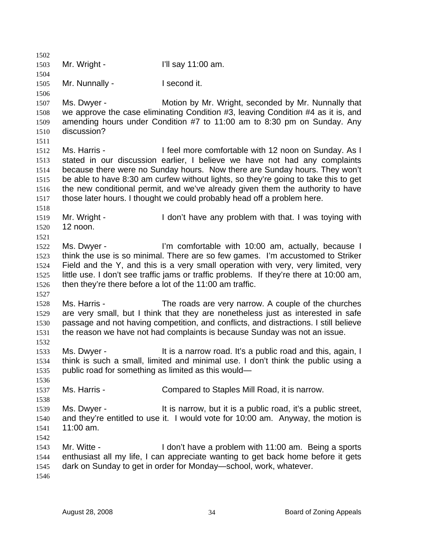1502 1503 1504 1505 1506 1507 1508 1509 1510 1511 1512 1513 1514 1515 1516 1517 1518 1519 1520 1521 1522 1523 1524 1525 1526 1527 1528 1529 1530 1531 1532 1533 1534 1535 1536 1537 1538 1539 1540 1541 1542 1543 1544 1545 1546 Mr. Wright - T'll say 11:00 am. Mr. Nunnally - I second it. Ms. Dwyer - **Motion by Mr. Wright, seconded by Mr. Nunnally that** we approve the case eliminating Condition #3, leaving Condition #4 as it is, and amending hours under Condition #7 to 11:00 am to 8:30 pm on Sunday. Any discussion? Ms. Harris - I feel more comfortable with 12 noon on Sunday. As I stated in our discussion earlier, I believe we have not had any complaints because there were no Sunday hours. Now there are Sunday hours. They won't be able to have 8:30 am curfew without lights, so they're going to take this to get the new conditional permit, and we've already given them the authority to have those later hours. I thought we could probably head off a problem here. Mr. Wright - The I don't have any problem with that. I was toying with 12 noon. Ms. Dwyer - The I'm comfortable with 10:00 am, actually, because I think the use is so minimal. There are so few games. I'm accustomed to Striker Field and the Y, and this is a very small operation with very, very limited, very little use. I don't see traffic jams or traffic problems. If they're there at 10:00 am, then they're there before a lot of the 11:00 am traffic. Ms. Harris - The roads are very narrow. A couple of the churches are very small, but I think that they are nonetheless just as interested in safe passage and not having competition, and conflicts, and distractions. I still believe the reason we have not had complaints is because Sunday was not an issue. Ms. Dwyer - This a narrow road. It's a public road and this, again, I think is such a small, limited and minimal use. I don't think the public using a public road for something as limited as this would— Ms. Harris - Compared to Staples Mill Road, it is narrow. Ms. Dwyer - It is narrow, but it is a public road, it's a public street, and they're entitled to use it. I would vote for 10:00 am. Anyway, the motion is 11:00 am. Mr. Witte - The State of Lettin 11:00 am. Being a sports in Mr. Vitte enthusiast all my life, I can appreciate wanting to get back home before it gets dark on Sunday to get in order for Monday—school, work, whatever.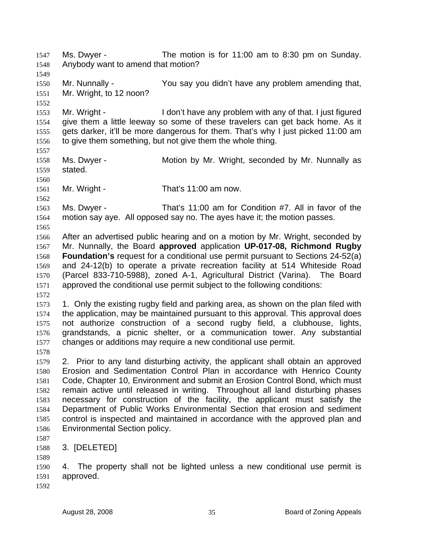Ms. Dwyer - The motion is for 11:00 am to 8:30 pm on Sunday. Anybody want to amend that motion? 1547 1548 1549 1550 1551 1552 1553 1554 1555 1556 1557 1558 1559 1560 1561 1562 1563 1564 1565 1566 1567 1568 1569 1570 1571 1572 1573 1574 1575 1576 1577 1578 1579 1580 1581 1582 1583 1584 1585 1586 1587 1588 1589 1590 1591 Mr. Nunnally - You say you didn't have any problem amending that, Mr. Wright, to 12 noon? Mr. Wright - The I don't have any problem with any of that. I just figured give them a little leeway so some of these travelers can get back home. As it gets darker, it'll be more dangerous for them. That's why I just picked 11:00 am to give them something, but not give them the whole thing. Ms. Dwyer - **Motion by Mr. Wright, seconded by Mr. Nunnally as** stated. Mr. Wright - That's 11:00 am now. Ms. Dwyer - That's 11:00 am for Condition #7. All in favor of the motion say aye. All opposed say no. The ayes have it; the motion passes. After an advertised public hearing and on a motion by Mr. Wright, seconded by Mr. Nunnally, the Board **approved** application **UP-017-08, Richmond Rugby Foundation's** request for a conditional use permit pursuant to Sections 24-52(a) and 24-12(b) to operate a private recreation facility at 514 Whiteside Road (Parcel 833-710-5988), zoned A-1, Agricultural District (Varina). The Board approved the conditional use permit subject to the following conditions: 1. Only the existing rugby field and parking area, as shown on the plan filed with the application, may be maintained pursuant to this approval. This approval does not authorize construction of a second rugby field, a clubhouse, lights, grandstands, a picnic shelter, or a communication tower. Any substantial changes or additions may require a new conditional use permit. 2. Prior to any land disturbing activity, the applicant shall obtain an approved Erosion and Sedimentation Control Plan in accordance with Henrico County Code, Chapter 10, Environment and submit an Erosion Control Bond, which must remain active until released in writing. Throughout all land disturbing phases necessary for construction of the facility, the applicant must satisfy the Department of Public Works Environmental Section that erosion and sediment control is inspected and maintained in accordance with the approved plan and Environmental Section policy. 3. [DELETED] 4. The property shall not be lighted unless a new conditional use permit is approved.

1592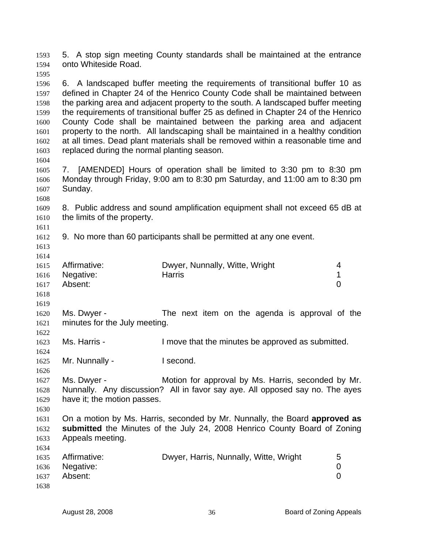5. A stop sign meeting County standards shall be maintained at the entrance onto Whiteside Road. 1593 1594 1595

1596 1597 1598 1599 1600 1601 1602 1603 6. A landscaped buffer meeting the requirements of transitional buffer 10 as defined in Chapter 24 of the Henrico County Code shall be maintained between the parking area and adjacent property to the south. A landscaped buffer meeting the requirements of transitional buffer 25 as defined in Chapter 24 of the Henrico County Code shall be maintained between the parking area and adjacent property to the north. All landscaping shall be maintained in a healthy condition at all times. Dead plant materials shall be removed within a reasonable time and replaced during the normal planting season.

1605 1606 1607 7. [AMENDED] Hours of operation shall be limited to 3:30 pm to 8:30 pm Monday through Friday, 9:00 am to 8:30 pm Saturday, and 11:00 am to 8:30 pm Sunday.

1609 1610 8. Public address and sound amplification equipment shall not exceed 65 dB at the limits of the property.

1612 9. No more than 60 participants shall be permitted at any one event.

1613 1614

1619

1624

1626

1634

1611

1604

1608

1615 1616 1617 1618 Affirmative: Dwyer, Nunnally, Witte, Wright 4 Negative: Harris 1 Absent: 0

1620 1621 1622 Ms. Dwyer - The next item on the agenda is approval of the minutes for the July meeting.

1623 Ms. Harris - The Move that the minutes be approved as submitted.

1625 Mr. Nunnally - I second.

1627 1628 1629 1630 Ms. Dwyer - Motion for approval by Ms. Harris, seconded by Mr. Nunnally. Any discussion? All in favor say aye. All opposed say no. The ayes have it; the motion passes.

1631 1632 1633 On a motion by Ms. Harris, seconded by Mr. Nunnally, the Board **approved as submitted** the Minutes of the July 24, 2008 Henrico County Board of Zoning Appeals meeting.

|      | 1635 Affirmative: | Dwyer, Harris, Nunnally, Witte, Wright | 5 |
|------|-------------------|----------------------------------------|---|
|      | 1636 Negative:    |                                        |   |
| 1637 | Absent:           |                                        |   |
| 1638 |                   |                                        |   |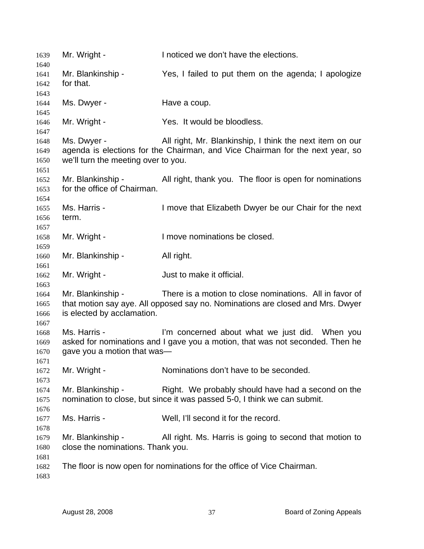| 1639         | Mr. Wright -                        | I noticed we don't have the elections.                                         |
|--------------|-------------------------------------|--------------------------------------------------------------------------------|
| 1640<br>1641 | Mr. Blankinship -                   | Yes, I failed to put them on the agenda; I apologize                           |
| 1642         | for that.                           |                                                                                |
| 1643         |                                     |                                                                                |
| 1644         | Ms. Dwyer -                         | Have a coup.                                                                   |
| 1645         |                                     |                                                                                |
| 1646         | Mr. Wright -                        | Yes. It would be bloodless.                                                    |
| 1647         |                                     |                                                                                |
| 1648         | Ms. Dwyer -                         | All right, Mr. Blankinship, I think the next item on our                       |
| 1649         |                                     | agenda is elections for the Chairman, and Vice Chairman for the next year, so  |
| 1650         | we'll turn the meeting over to you. |                                                                                |
| 1651         |                                     |                                                                                |
| 1652         | Mr. Blankinship -                   | All right, thank you. The floor is open for nominations                        |
| 1653         | for the office of Chairman.         |                                                                                |
| 1654         |                                     |                                                                                |
| 1655         | Ms. Harris -                        | I move that Elizabeth Dwyer be our Chair for the next                          |
| 1656         | term.                               |                                                                                |
| 1657         |                                     |                                                                                |
| 1658         | Mr. Wright -                        | I move nominations be closed.                                                  |
| 1659         |                                     |                                                                                |
| 1660         | Mr. Blankinship -                   | All right.                                                                     |
| 1661         | Mr. Wright -                        | Just to make it official.                                                      |
| 1662         |                                     |                                                                                |
| 1663<br>1664 | Mr. Blankinship -                   | There is a motion to close nominations. All in favor of                        |
| 1665         |                                     | that motion say aye. All opposed say no. Nominations are closed and Mrs. Dwyer |
| 1666         | is elected by acclamation.          |                                                                                |
| 1667         |                                     |                                                                                |
| 1668         | Ms. Harris -                        | I'm concerned about what we just did. When you                                 |
| 1669         |                                     | asked for nominations and I gave you a motion, that was not seconded. Then he  |
| 1670         | gave you a motion that was-         |                                                                                |
| 1671         |                                     |                                                                                |
| 1672         | Mr. Wright -                        | Nominations don't have to be seconded.                                         |
| 1673         |                                     |                                                                                |
| 1674         | Mr. Blankinship -                   | Right. We probably should have had a second on the                             |
| 1675         |                                     | nomination to close, but since it was passed 5-0, I think we can submit.       |
| 1676         |                                     |                                                                                |
| 1677         | Ms. Harris -                        | Well, I'll second it for the record.                                           |
| 1678         |                                     |                                                                                |
| 1679         | Mr. Blankinship -                   | All right. Ms. Harris is going to second that motion to                        |
| 1680         | close the nominations. Thank you.   |                                                                                |
| 1681         |                                     |                                                                                |
| 1682         |                                     | The floor is now open for nominations for the office of Vice Chairman.         |
| 1683         |                                     |                                                                                |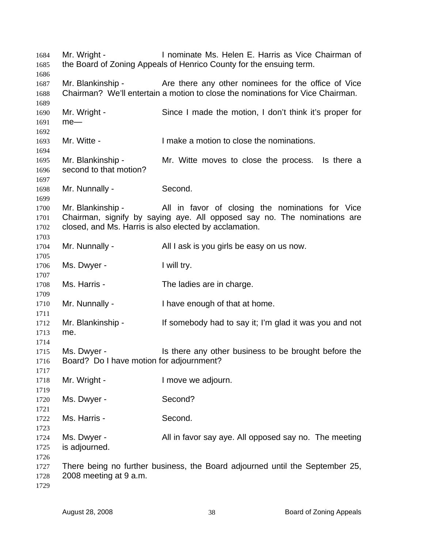Mr. Wright - Inominate Ms. Helen E. Harris as Vice Chairman of the Board of Zoning Appeals of Henrico County for the ensuing term. Mr. Blankinship - The Are there any other nominees for the office of Vice Chairman? We'll entertain a motion to close the nominations for Vice Chairman. Mr. Wright - Since I made the motion, I don't think it's proper for me— Mr. Witte - The Muslim of the numericity of the nominations. Mr. Blankinship - Mr. Witte moves to close the process. Is there a second to that motion? Mr. Nunnally - Second. Mr. Blankinship - All in favor of closing the nominations for Vice Chairman, signify by saying aye. All opposed say no. The nominations are closed, and Ms. Harris is also elected by acclamation. Mr. Nunnally - All I ask is you girls be easy on us now. Ms. Dwyer - Twill try. Ms. Harris - The ladies are in charge. Mr. Nunnally - I have enough of that at home. Mr. Blankinship - If somebody had to say it; I'm glad it was you and not me. Ms. Dwyer - The state any other business to be brought before the Board? Do I have motion for adjournment? Mr. Wright - The Music Control of the University of Mr. Wright -Ms. Dwyer - Second? Ms. Harris - Second. Ms. Dwyer - The meeting All in favor say aye. All opposed say no. The meeting is adjourned. There being no further business, the Board adjourned until the September 25, 2008 meeting at 9 a.m.